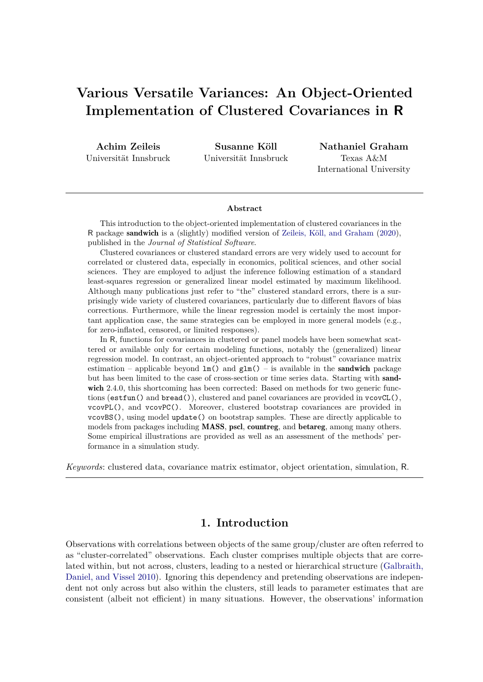# **Various Versatile Variances: An Object-Oriented Implementation of Clustered Covariances in R**

**Achim Zeileis** Universität Innsbruck

**Susanne Köll** Universität Innsbruck

**Nathaniel Graham** Texas A&M International University

#### **Abstract**

This introduction to the object-oriented implementation of clustered covariances in the R package sandwich is a (slightly) modified version of [Zeileis, Köll, and Graham](#page-32-0) [\(2020\)](#page-32-0), published in the *Journal of Statistical Software*.

Clustered covariances or clustered standard errors are very widely used to account for correlated or clustered data, especially in economics, political sciences, and other social sciences. They are employed to adjust the inference following estimation of a standard least-squares regression or generalized linear model estimated by maximum likelihood. Although many publications just refer to "the" clustered standard errors, there is a surprisingly wide variety of clustered covariances, particularly due to different flavors of bias corrections. Furthermore, while the linear regression model is certainly the most important application case, the same strategies can be employed in more general models (e.g., for zero-inflated, censored, or limited responses).

In R, functions for covariances in clustered or panel models have been somewhat scattered or available only for certain modeling functions, notably the (generalized) linear regression model. In contrast, an object-oriented approach to "robust" covariance matrix estimation – applicable beyond  $lm()$  and  $glm()$  – is available in the **sandwich** package but has been limited to the case of cross-section or time series data. Starting with sandwich 2.4.0, this shortcoming has been corrected: Based on methods for two generic functions (estfun() and  $break()$ , clustered and panel covariances are provided in  $veo\nu\mathcal{L}()$ . vcovPL(), and vcovPC(). Moreover, clustered bootstrap covariances are provided in vcovBS(), using model update() on bootstrap samples. These are directly applicable to models from packages including MASS, pscl, countreg, and betareg, among many others. Some empirical illustrations are provided as well as an assessment of the methods' performance in a simulation study.

*Keywords*: clustered data, covariance matrix estimator, object orientation, simulation, R.

# **1. Introduction**

Observations with correlations between objects of the same group/cluster are often referred to as "cluster-correlated" observations. Each cluster comprises multiple objects that are correlated within, but not across, clusters, leading to a nested or hierarchical structure [\(Galbraith,](#page-29-0) [Daniel, and Vissel](#page-29-0) [2010\)](#page-29-0). Ignoring this dependency and pretending observations are independent not only across but also within the clusters, still leads to parameter estimates that are consistent (albeit not efficient) in many situations. However, the observations' information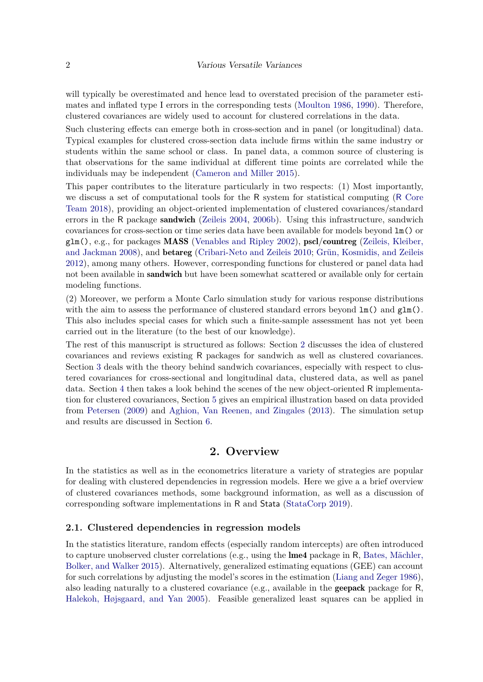will typically be overestimated and hence lead to overstated precision of the parameter estimates and inflated type I errors in the corresponding tests [\(Moulton](#page-31-0) [1986,](#page-31-0) [1990\)](#page-31-1). Therefore, clustered covariances are widely used to account for clustered correlations in the data.

Such clustering effects can emerge both in cross-section and in panel (or longitudinal) data. Typical examples for clustered cross-section data include firms within the same industry or students within the same school or class. In panel data, a common source of clustering is that observations for the same individual at different time points are correlated while the individuals may be independent [\(Cameron and Miller](#page-28-0) [2015\)](#page-28-0).

This paper contributes to the literature particularly in two respects: (1) Most importantly, we discuss a set of computational tools for the R system for statistical computing (R [Core](#page-31-2) [Team](#page-31-2) [2018\)](#page-31-2), providing an object-oriented implementation of clustered covariances/standard errors in the R package **sandwich** [\(Zeileis](#page-32-1) [2004,](#page-32-1) [2006b\)](#page-32-2). Using this infrastructure, sandwich covariances for cross-section or time series data have been available for models beyond lm() or glm(), e.g., for packages MASS [\(Venables and Ripley](#page-31-3) [2002\)](#page-31-3), pscl/countreg [\(Zeileis, Kleiber,](#page-32-3) [and Jackman](#page-32-3) [2008\)](#page-32-3), and betareg [\(Cribari-Neto and Zeileis](#page-28-1) [2010;](#page-28-1) [Grün, Kosmidis, and Zeileis](#page-29-1) [2012\)](#page-29-1), among many others. However, corresponding functions for clustered or panel data had not been available in **sandwich** but have been somewhat scattered or available only for certain modeling functions.

(2) Moreover, we perform a Monte Carlo simulation study for various response distributions with the aim to assess the performance of clustered standard errors beyond  $lm()$  and  $glm()$ . This also includes special cases for which such a finite-sample assessment has not yet been carried out in the literature (to the best of our knowledge).

The rest of this manuscript is structured as follows: Section [2](#page-1-0) discusses the idea of clustered covariances and reviews existing R packages for sandwich as well as clustered covariances. Section [3](#page-4-0) deals with the theory behind sandwich covariances, especially with respect to clustered covariances for cross-sectional and longitudinal data, clustered data, as well as panel data. Section [4](#page-10-0) then takes a look behind the scenes of the new object-oriented R implementation for clustered covariances, Section [5](#page-14-0) gives an empirical illustration based on data provided from [Petersen](#page-31-4) [\(2009\)](#page-31-4) and [Aghion, Van Reenen, and Zingales](#page-27-0) [\(2013\)](#page-27-0). The simulation setup and results are discussed in Section [6.](#page-19-0)

# **2. Overview**

<span id="page-1-0"></span>In the statistics as well as in the econometrics literature a variety of strategies are popular for dealing with clustered dependencies in regression models. Here we give a a brief overview of clustered covariances methods, some background information, as well as a discussion of corresponding software implementations in R and Stata [\(StataCorp](#page-31-5) [2019\)](#page-31-5).

### **2.1. Clustered dependencies in regression models**

In the statistics literature, random effects (especially random intercepts) are often introduced to capture unobserved cluster correlations (e.g., using the  $\text{Im}e4$  package in R, [Bates, Mächler,](#page-27-1) [Bolker, and Walker](#page-27-1) [2015\)](#page-27-1). Alternatively, generalized estimating equations (GEE) can account for such correlations by adjusting the model's scores in the estimation [\(Liang and Zeger](#page-30-0) [1986\)](#page-30-0), also leading naturally to a clustered covariance (e.g., available in the **geepack** package for  $R$ , [Halekoh, Højsgaard, and Yan](#page-29-2) [2005\)](#page-29-2). Feasible generalized least squares can be applied in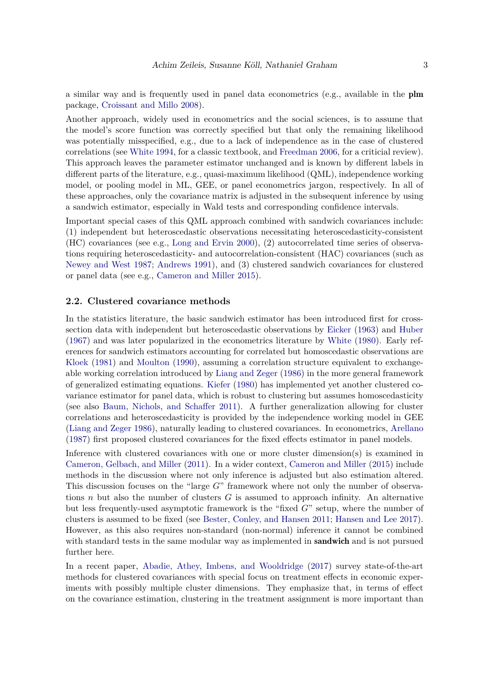a similar way and is frequently used in panel data econometrics (e.g., available in the plm package, [Croissant and Millo](#page-28-2) [2008\)](#page-28-2).

Another approach, widely used in econometrics and the social sciences, is to assume that the model's score function was correctly specified but that only the remaining likelihood was potentially misspecified, e.g., due to a lack of independence as in the case of clustered correlations (see [White](#page-32-4) [1994,](#page-32-4) for a classic textbook, and [Freedman](#page-29-3) [2006,](#page-29-3) for a criticial review). This approach leaves the parameter estimator unchanged and is known by different labels in different parts of the literature, e.g., quasi-maximum likelihood (QML), independence working model, or pooling model in ML, GEE, or panel econometrics jargon, respectively. In all of these approaches, only the covariance matrix is adjusted in the subsequent inference by using a sandwich estimator, especially in Wald tests and corresponding confidence intervals.

Important special cases of this QML approach combined with sandwich covariances include: (1) independent but heteroscedastic observations necessitating heteroscedasticity-consistent (HC) covariances (see e.g., [Long and Ervin](#page-30-1) [2000\)](#page-30-1), (2) autocorrelated time series of observations requiring heteroscedasticity- and autocorrelation-consistent (HAC) covariances (such as [Newey and West](#page-31-6) [1987;](#page-31-6) [Andrews](#page-27-2) [1991\)](#page-27-2), and (3) clustered sandwich covariances for clustered or panel data (see e.g., [Cameron and Miller](#page-28-0) [2015\)](#page-28-0).

### **2.2. Clustered covariance methods**

In the statistics literature, the basic sandwich estimator has been introduced first for crosssection data with independent but heteroscedastic observations by [Eicker](#page-28-3) [\(1963\)](#page-28-3) and [Huber](#page-29-4) [\(1967\)](#page-29-4) and was later popularized in the econometrics literature by [White](#page-32-5) [\(1980\)](#page-32-5). Early references for sandwich estimators accounting for correlated but homoscedastic observations are [Kloek](#page-30-2) [\(1981\)](#page-30-2) and [Moulton](#page-31-1) [\(1990\)](#page-31-1), assuming a correlation structure equivalent to exchangeable working correlation introduced by [Liang and Zeger](#page-30-0) [\(1986\)](#page-30-0) in the more general framework of generalized estimating equations. [Kiefer](#page-30-3) [\(1980\)](#page-30-3) has implemented yet another clustered covariance estimator for panel data, which is robust to clustering but assumes homoscedasticity (see also [Baum, Nichols, and Schaffer](#page-27-3) [2011\)](#page-27-3). A further generalization allowing for cluster correlations and heteroscedasticity is provided by the independence working model in GEE [\(Liang and Zeger](#page-30-0) [1986\)](#page-30-0), naturally leading to clustered covariances. In econometrics, [Arellano](#page-27-4) [\(1987\)](#page-27-4) first proposed clustered covariances for the fixed effects estimator in panel models.

Inference with clustered covariances with one or more cluster dimension(s) is examined in [Cameron, Gelbach, and Miller](#page-28-4) [\(2011\)](#page-28-4). In a wider context, [Cameron and Miller](#page-28-0) [\(2015\)](#page-28-0) include methods in the discussion where not only inference is adjusted but also estimation altered. This discussion focuses on the "large *G*" framework where not only the number of observations *n* but also the number of clusters *G* is assumed to approach infinity. An alternative but less frequently-used asymptotic framework is the "fixed *G*" setup, where the number of clusters is assumed to be fixed (see [Bester, Conley, and Hansen](#page-28-5) [2011;](#page-28-5) [Hansen and Lee](#page-29-5) [2017\)](#page-29-5). However, as this also requires non-standard (non-normal) inference it cannot be combined with standard tests in the same modular way as implemented in **sandwich** and is not pursued further here.

In a recent paper, [Abadie, Athey, Imbens, and Wooldridge](#page-27-5) [\(2017\)](#page-27-5) survey state-of-the-art methods for clustered covariances with special focus on treatment effects in economic experiments with possibly multiple cluster dimensions. They emphasize that, in terms of effect on the covariance estimation, clustering in the treatment assignment is more important than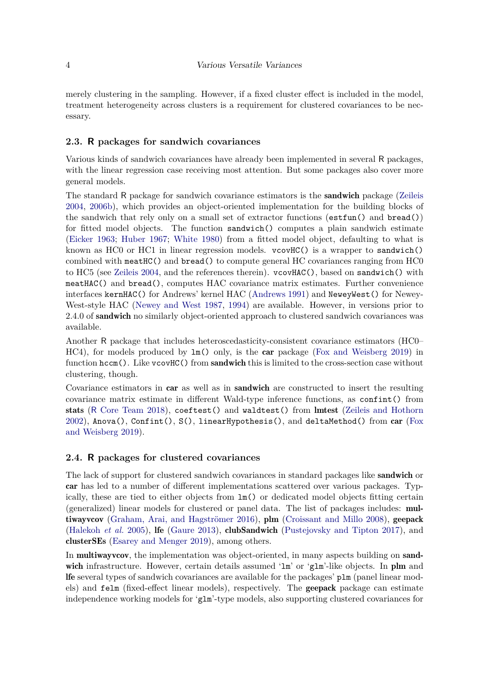merely clustering in the sampling. However, if a fixed cluster effect is included in the model, treatment heterogeneity across clusters is a requirement for clustered covariances to be necessary.

### **2.3. R packages for sandwich covariances**

Various kinds of sandwich covariances have already been implemented in several R packages, with the linear regression case receiving most attention. But some packages also cover more general models.

The standard R package for sandwich covariance estimators is the sandwich package [\(Zeileis](#page-32-1) [2004,](#page-32-1) [2006b\)](#page-32-2), which provides an object-oriented implementation for the building blocks of the sandwich that rely only on a small set of extractor functions (estfun() and bread()) for fitted model objects. The function sandwich() computes a plain sandwich estimate [\(Eicker](#page-28-3) [1963;](#page-28-3) [Huber](#page-29-4) [1967;](#page-29-4) [White](#page-32-5) [1980\)](#page-32-5) from a fitted model object, defaulting to what is known as  $HC0$  or  $HC1$  in linear regression models. vcov $HC$ ) is a wrapper to sandwich() combined with meatHC() and bread() to compute general HC covariances ranging from HC0 to HC5 (see [Zeileis](#page-32-1) [2004,](#page-32-1) and the references therein). vcovHAC(), based on sandwich() with meatHAC() and bread(), computes HAC covariance matrix estimates. Further convenience interfaces kernHAC() for Andrews' kernel HAC [\(Andrews](#page-27-2) [1991\)](#page-27-2) and NeweyWest() for Newey-West-style HAC [\(Newey and West](#page-31-6) [1987,](#page-31-6) [1994\)](#page-31-7) are available. However, in versions prior to 2.4.0 of **sandwich** no similarly object-oriented approach to clustered sandwich covariances was available.

Another R package that includes heteroscedasticity-consistent covariance estimators (HC0– HC4), for models produced by lm() only, is the car package [\(Fox and Weisberg](#page-29-6) [2019\)](#page-29-6) in function  $\text{hccm}$ ). Like vcovHC() from sandwich this is limited to the cross-section case without clustering, though.

Covariance estimators in car as well as in sandwich are constructed to insert the resulting covariance matrix estimate in different Wald-type inference functions, as confint() from stats (R [Core Team](#page-31-2) [2018\)](#page-31-2), coeftest() and waldtest() from lmtest [\(Zeileis and Hothorn](#page-32-6) [2002\)](#page-32-6), Anova(), Confint(), S(), linearHypothesis(), and deltaMethod() from car [\(Fox](#page-29-6) [and Weisberg](#page-29-6) [2019\)](#page-29-6).

### **2.4. R packages for clustered covariances**

The lack of support for clustered sandwich covariances in standard packages like **sandwich** or car has led to a number of different implementations scattered over various packages. Typically, these are tied to either objects from lm() or dedicated model objects fitting certain (generalized) linear models for clustered or panel data. The list of packages includes: multiwayvcov [\(Graham, Arai, and Hagströmer](#page-29-7) [2016\)](#page-29-7), plm [\(Croissant and Millo](#page-28-2) [2008\)](#page-28-2), geepack [\(Halekoh](#page-29-2) *et al.* [2005\)](#page-29-2), lfe [\(Gaure](#page-29-8) [2013\)](#page-29-8), clubSandwich [\(Pustejovsky and Tipton](#page-31-8) [2017\)](#page-31-8), and clusterSEs [\(Esarey and Menger](#page-28-6) [2019\)](#page-28-6), among others.

In **multiwayveov**, the implementation was object-oriented, in many aspects building on **sand**wich infrastructure. However, certain details assumed 'lm' or 'glm'-like objects. In plm and lfe several types of sandwich covariances are available for the packages' plm (panel linear models) and felm (fixed-effect linear models), respectively. The geepack package can estimate independence working models for 'glm'-type models, also supporting clustered covariances for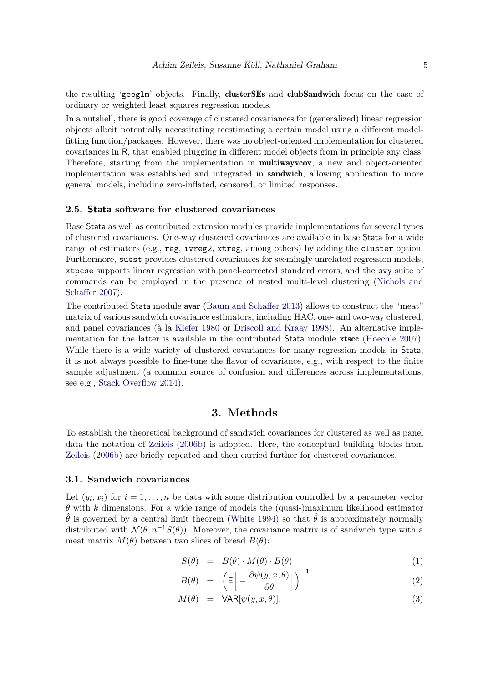the resulting 'geeglm' objects. Finally, clusterSEs and clubSandwich focus on the case of ordinary or weighted least squares regression models.

In a nutshell, there is good coverage of clustered covariances for (generalized) linear regression objects albeit potentially necessitating reestimating a certain model using a different modelfitting function/packages. However, there was no object-oriented implementation for clustered covariances in R, that enabled plugging in different model objects from in principle any class. Therefore, starting from the implementation in **multiwayvov**, a new and object-oriented implementation was established and integrated in sandwich, allowing application to more general models, including zero-inflated, censored, or limited responses.

### **2.5. Stata software for clustered covariances**

Base Stata as well as contributed extension modules provide implementations for several types of clustered covariances. One-way clustered covariances are available in base Stata for a wide range of estimators (e.g., reg, ivreg2, xtreg, among others) by adding the cluster option. Furthermore, suest provides clustered covariances for seemingly unrelated regression models, xtpcse supports linear regression with panel-corrected standard errors, and the svy suite of commands can be employed in the presence of nested multi-level clustering [\(Nichols and](#page-31-9) [Schaffer](#page-31-9) [2007\)](#page-31-9).

The contributed Stata module avar [\(Baum and Schaffer](#page-27-6) [2013\)](#page-27-6) allows to construct the "meat" matrix of various sandwich covariance estimators, including HAC, one- and two-way clustered, and panel covariances (à la [Kiefer](#page-30-3) [1980](#page-30-3) or [Driscoll and Kraay](#page-28-7) [1998\)](#page-28-7). An alternative imple-mentation for the latter is available in the contributed Stata module xtscc [\(Hoechle](#page-29-9) [2007\)](#page-29-9). While there is a wide variety of clustered covariances for many regression models in Stata, it is not always possible to fine-tune the flavor of covariance, e.g., with respect to the finite sample adjustment (a common source of confusion and differences across implementations, see e.g., [Stack Overflow](#page-31-10) [2014\)](#page-31-10).

### **3. Methods**

<span id="page-4-0"></span>To establish the theoretical background of sandwich covariances for clustered as well as panel data the notation of [Zeileis](#page-32-2) [\(2006b\)](#page-32-2) is adopted. Here, the conceptual building blocks from [Zeileis](#page-32-2) [\(2006b\)](#page-32-2) are briefly repeated and then carried further for clustered covariances.

#### **3.1. Sandwich covariances**

Let  $(y_i, x_i)$  for  $i = 1, \ldots, n$  be data with some distribution controlled by a parameter vector  $\theta$  with  $k$  dimensions. For a wide range of models the (quasi-)maximum likelihood estimator  $\hat{\theta}$  is governed by a central limit theorem [\(White](#page-32-4) [1994\)](#page-32-4) so that  $\hat{\theta}$  is approximately normally distributed with  $\mathcal{N}(\theta, n^{-1}S(\theta))$ . Moreover, the covariance matrix is of sandwich type with a meat matrix  $M(\theta)$  between two slices of bread  $B(\theta)$ :

<span id="page-4-1"></span>
$$
S(\theta) = B(\theta) \cdot M(\theta) \cdot B(\theta) \tag{1}
$$

$$
B(\theta) = \left( \mathsf{E} \left[ -\frac{\partial \psi(y, x, \theta)}{\partial \theta} \right] \right)^{-1} \tag{2}
$$

$$
M(\theta) = \text{VAR}[\psi(y, x, \theta)]. \tag{3}
$$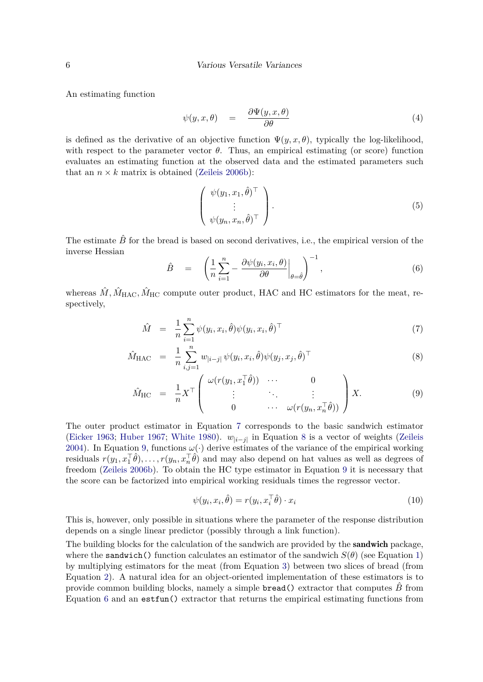An estimating function

$$
\psi(y, x, \theta) = \frac{\partial \Psi(y, x, \theta)}{\partial \theta} \tag{4}
$$

is defined as the derivative of an objective function  $\Psi(y, x, \theta)$ , typically the log-likelihood, with respect to the parameter vector  $\theta$ . Thus, an empirical estimating (or score) function evaluates an estimating function at the observed data and the estimated parameters such that an  $n \times k$  matrix is obtained [\(Zeileis](#page-32-2) [2006b\)](#page-32-2):

<span id="page-5-2"></span>
$$
\begin{pmatrix} \psi(y_1, x_1, \hat{\theta})^{\top} \\ \vdots \\ \psi(y_n, x_n, \hat{\theta})^{\top} \end{pmatrix} .
$$
 (5)

The estimate  $\hat{B}$  for the bread is based on second derivatives, i.e., the empirical version of the inverse Hessian

<span id="page-5-1"></span>
$$
\hat{B} = \left( \frac{1}{n} \sum_{i=1}^{n} - \frac{\partial \psi(y_i, x_i, \theta)}{\partial \theta} \bigg|_{\theta = \hat{\theta}} \right)^{-1}, \tag{6}
$$

whereas  $\hat{M}$ ,  $\hat{M}_{\text{HAC}}$ ,  $\hat{M}_{\text{HC}}$  compute outer product, HAC and HC estimators for the meat, respectively,

<span id="page-5-0"></span>
$$
\hat{M} = \frac{1}{n} \sum_{i=1}^{n} \psi(y_i, x_i, \hat{\theta}) \psi(y_i, x_i, \hat{\theta})^{\top}
$$
\n(7)

$$
\hat{M}_{\text{HAC}} = \frac{1}{n} \sum_{i,j=1}^{n} w_{|i-j|} \psi(y_i, x_i, \hat{\theta}) \psi(y_j, x_j, \hat{\theta})^{\top}
$$
\n(8)

$$
\hat{M}_{\text{HC}} = \frac{1}{n} X^{\top} \begin{pmatrix} \omega(r(y_1, x_1^{\top} \hat{\theta})) & \cdots & 0 \\ \vdots & \ddots & \vdots \\ 0 & \cdots & \omega(r(y_n, x_n^{\top} \hat{\theta})) \end{pmatrix} X.
$$
 (9)

The outer product estimator in Equation [7](#page-5-0) corresponds to the basic sandwich estimator [\(Eicker](#page-28-3) [1963;](#page-28-3) [Huber](#page-29-4) [1967;](#page-29-4) [White](#page-32-5) [1980\)](#page-32-5).  $w_{|i-j|}$  in Equation [8](#page-5-0) is a vector of weights [\(Zeileis](#page-32-1) [2004\)](#page-32-1). In Equation [9,](#page-5-0) functions  $\omega(\cdot)$  derive estimates of the variance of the empirical working residuals  $r(y_1, x_1^{\top}\hat{\theta}), \ldots, r(y_n, x_n^{\top}\hat{\theta})$  and may also depend on hat values as well as degrees of freedom [\(Zeileis](#page-32-2) [2006b\)](#page-32-2). To obtain the HC type estimator in Equation [9](#page-5-0) it is necessary that the score can be factorized into empirical working residuals times the regressor vector.

<span id="page-5-3"></span>
$$
\psi(y_i, x_i, \hat{\theta}) = r(y_i, x_i^{\top} \hat{\theta}) \cdot x_i \tag{10}
$$

This is, however, only possible in situations where the parameter of the response distribution depends on a single linear predictor (possibly through a link function).

The building blocks for the calculation of the sandwich are provided by the **sandwich** package, where the **sandwich**() function calculates an estimator of the sandwich  $S(\theta)$  (see Equation [1\)](#page-4-1) by multiplying estimators for the meat (from Equation [3\)](#page-4-1) between two slices of bread (from Equation [2\)](#page-4-1). A natural idea for an object-oriented implementation of these estimators is to provide common building blocks, namely a simple **bread**() extractor that computes  $\hat{B}$  from Equation [6](#page-5-1) and an estfun() extractor that returns the empirical estimating functions from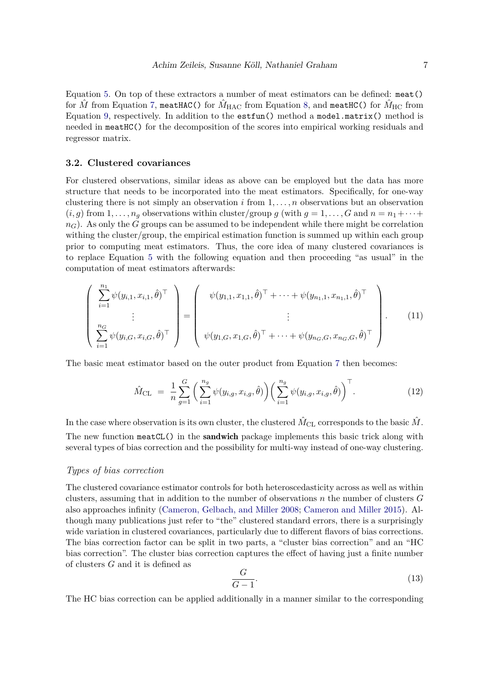Equation [5.](#page-5-2) On top of these extractors a number of meat estimators can be defined: meat() for  $\hat{M}$  from Equation [7,](#page-5-0) meatHAC() for  $\hat{M}_{\rm HAC}$  from Equation [8,](#page-5-0) and meatHC() for  $\hat{M}_{\rm HC}$  from Equation [9,](#page-5-0) respectively. In addition to the estfun() method a model.matrix() method is needed in meatHC() for the decomposition of the scores into empirical working residuals and regressor matrix.

#### **3.2. Clustered covariances**

For clustered observations, similar ideas as above can be employed but the data has more structure that needs to be incorporated into the meat estimators. Specifically, for one-way clustering there is not simply an observation *i* from 1*, . . . , n* observations but an observation  $(i, g)$  from  $1, \ldots, n_g$  observations within cluster/group *g* (with  $g = 1, \ldots, G$  and  $n = n_1 + \cdots + n_g$ *nG*). As only the *G* groups can be assumed to be independent while there might be correlation withing the cluster/group, the empirical estimation function is summed up within each group prior to computing meat estimators. Thus, the core idea of many clustered covariances is to replace Equation [5](#page-5-2) with the following equation and then proceeding "as usual" in the computation of meat estimators afterwards:

<span id="page-6-2"></span>
$$
\begin{pmatrix}\n\sum_{i=1}^{n_1} \psi(y_{i,1}, x_{i,1}, \hat{\theta})^{\top} \\
\vdots \\
\sum_{i=1}^{n_G} \psi(y_{i,G}, x_{i,G}, \hat{\theta})^{\top}\n\end{pmatrix} = \begin{pmatrix}\n\psi(y_{1,1}, x_{1,1}, \hat{\theta})^{\top} + \dots + \psi(y_{n_1,1}, x_{n_1,1}, \hat{\theta})^{\top} \\
\vdots \\
\psi(y_{1,G}, x_{1,G}, \hat{\theta})^{\top} + \dots + \psi(y_{n_G,G}, x_{n_G,G}, \hat{\theta})^{\top}\n\end{pmatrix}.
$$
\n(11)

The basic meat estimator based on the outer product from Equation [7](#page-5-0) then becomes:

<span id="page-6-0"></span>
$$
\hat{M}_{\text{CL}} = \frac{1}{n} \sum_{g=1}^{G} \left( \sum_{i=1}^{n_g} \psi(y_{i,g}, x_{i,g}, \hat{\theta}) \right) \left( \sum_{i=1}^{n_g} \psi(y_{i,g}, x_{i,g}, \hat{\theta}) \right)^{\top}.
$$
\n(12)

In the case where observation is its own cluster, the clustered  $\hat{M}_{CL}$  corresponds to the basic  $\hat{M}$ . The new function meatCL() in the **sandwich** package implements this basic trick along with several types of bias correction and the possibility for multi-way instead of one-way clustering.

#### *Types of bias correction*

The clustered covariance estimator controls for both heteroscedasticity across as well as within clusters, assuming that in addition to the number of observations *n* the number of clusters *G* also approaches infinity [\(Cameron, Gelbach, and Miller](#page-28-8) [2008;](#page-28-8) [Cameron and Miller](#page-28-0) [2015\)](#page-28-0). Although many publications just refer to "the" clustered standard errors, there is a surprisingly wide variation in clustered covariances, particularly due to different flavors of bias corrections. The bias correction factor can be split in two parts, a "cluster bias correction" and an "HC bias correction". The cluster bias correction captures the effect of having just a finite number of clusters *G* and it is defined as

<span id="page-6-1"></span>
$$
\frac{G}{G-1}.\tag{13}
$$

The HC bias correction can be applied additionally in a manner similar to the corresponding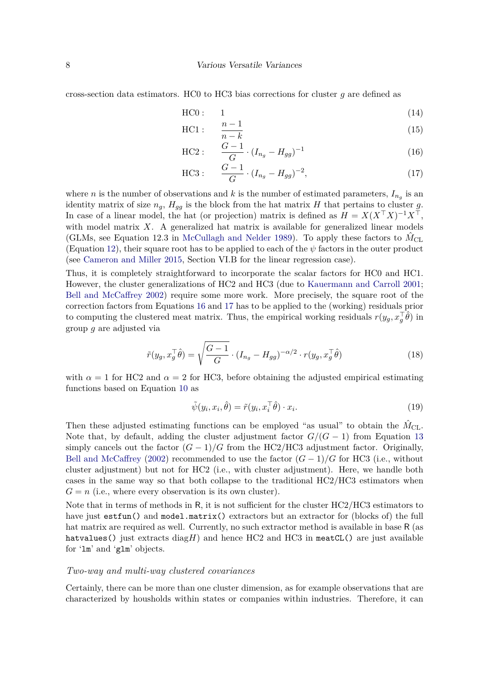cross-section data estimators. HC0 to HC3 bias corrections for cluster *g* are defined as

<span id="page-7-0"></span>
$$
HCO: \qquad 1 \tag{14}
$$

$$
\text{HC1}: \quad \frac{n-1}{n-k} \tag{15}
$$

$$
\text{HC2}: \quad \frac{G-1}{G} \cdot (I_{n_g} - H_{gg})^{-1} \tag{16}
$$

$$
\text{HC3}: \quad \frac{G-1}{G} \cdot (I_{n_g} - H_{gg})^{-2}, \tag{17}
$$

where *n* is the number of observations and *k* is the number of estimated parameters,  $I_{n_g}$  is an identity matrix of size  $n_g$ ,  $H_{gg}$  is the block from the hat matrix *H* that pertains to cluster *g*. In case of a linear model, the hat (or projection) matrix is defined as  $H = X(X^{\top}X)^{-1}X^{\top}$ , with model matrix *X*. A generalized hat matrix is available for generalized linear models (GLMs, see Equation 12.3 in [McCullagh and Nelder](#page-30-4) [1989\)](#page-30-4). To apply these factors to  $\hat{M}_{CL}$ (Equation [12\)](#page-6-0), their square root has to be applied to each of the *ψ* factors in the outer product (see [Cameron and Miller](#page-28-0) [2015,](#page-28-0) Section VI.B for the linear regression case).

Thus, it is completely straightforward to incorporate the scalar factors for HC0 and HC1. However, the cluster generalizations of HC2 and HC3 (due to [Kauermann and Carroll](#page-30-5) [2001;](#page-30-5) [Bell and McCaffrey](#page-27-7) [2002\)](#page-27-7) require some more work. More precisely, the square root of the correction factors from Equations [16](#page-7-0) and [17](#page-7-0) has to be applied to the (working) residuals prior to computing the clustered meat matrix. Thus, the empirical working residuals  $r(y_g, x_g^{\top}\hat{\theta})$  in group *g* are adjusted via

$$
\tilde{r}(y_g, x_g^{\top}\hat{\theta}) = \sqrt{\frac{G-1}{G}} \cdot (I_{n_g} - H_{gg})^{-\alpha/2} \cdot r(y_g, x_g^{\top}\hat{\theta})
$$
\n(18)

with  $\alpha = 1$  for HC2 and  $\alpha = 2$  for HC3, before obtaining the adjusted empirical estimating functions based on Equation [10](#page-5-3) as

$$
\tilde{\psi}(y_i, x_i, \hat{\theta}) = \tilde{r}(y_i, x_i^{\top} \hat{\theta}) \cdot x_i.
$$
\n(19)

Then these adjusted estimating functions can be employed "as usual" to obtain the  $\hat{M}_{CL}$ . Note that, by default, adding the cluster adjustment factor  $G/(G-1)$  from Equation [13](#page-6-1) simply cancels out the factor  $(G-1)/G$  from the HC2/HC3 adjustment factor. Originally, [Bell and McCaffrey](#page-27-7) [\(2002\)](#page-27-7) recommended to use the factor  $(G-1)/G$  for HC3 (i.e., without cluster adjustment) but not for HC2 (i.e., with cluster adjustment). Here, we handle both cases in the same way so that both collapse to the traditional HC2/HC3 estimators when  $G = n$  (i.e., where every observation is its own cluster).

Note that in terms of methods in R, it is not sufficient for the cluster HC2/HC3 estimators to have just estfun() and model.matrix() extractors but an extractor for (blocks of) the full hat matrix are required as well. Currently, no such extractor method is available in base R (as hatvalues() just extracts diag $H$ ) and hence HC2 and HC3 in meatCL() are just available for 'lm' and 'glm' objects.

#### *Two-way and multi-way clustered covariances*

Certainly, there can be more than one cluster dimension, as for example observations that are characterized by housholds within states or companies within industries. Therefore, it can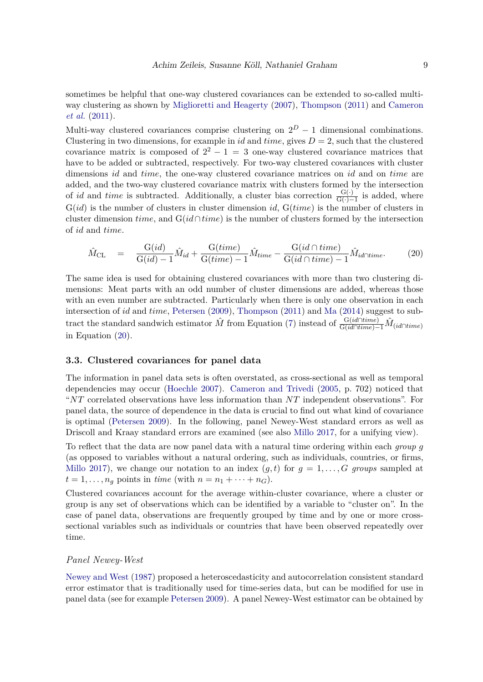sometimes be helpful that one-way clustered covariances can be extended to so-called multiway clustering as shown by [Miglioretti and Heagerty](#page-30-6) [\(2007\)](#page-30-6), [Thompson](#page-31-11) [\(2011\)](#page-31-11) and [Cameron](#page-28-4) *[et al.](#page-28-4)* [\(2011\)](#page-28-4).

Multi-way clustered covariances comprise clustering on  $2^D - 1$  dimensional combinations. Clustering in two dimensions, for example in *id* and *time*, gives  $D = 2$ , such that the clustered covariance matrix is composed of  $2^2 - 1 = 3$  one-way clustered covariance matrices that have to be added or subtracted, respectively. For two-way clustered covariances with cluster dimensions *id* and *time*, the one-way clustered covariance matrices on *id* and on *time* are added, and the two-way clustered covariance matrix with clusters formed by the intersection of *id* and *time* is subtracted. Additionally, a cluster bias correction  $\frac{G(·)}{G(·)-1}$  is added, where G(*id*) is the number of clusters in cluster dimension *id*, G(*time*) is the number of clusters in cluster dimension *time*, and G(*id*∩*time*) is the number of clusters formed by the intersection of *id* and *time*.

<span id="page-8-0"></span>
$$
\hat{M}_{\rm CL} = \frac{G(id)}{G(id) - 1} \hat{M}_{id} + \frac{G(time)}{G(time) - 1} \hat{M}_{time} - \frac{G(id \cap time)}{G(id \cap time) - 1} \hat{M}_{id \cap time}.
$$
 (20)

The same idea is used for obtaining clustered covariances with more than two clustering dimensions: Meat parts with an odd number of cluster dimensions are added, whereas those with an even number are subtracted. Particularly when there is only one observation in each intersection of *id* and *time*, [Petersen](#page-31-4) [\(2009\)](#page-31-4), [Thompson](#page-31-11) [\(2011\)](#page-31-11) and [Ma](#page-30-7) [\(2014\)](#page-30-7) suggest to subtract the standard sandwich estimator  $\hat{M}$  from Equation [\(7\)](#page-5-0) instead of  $\frac{G(id \cap time)}{G(id \cap time)}$   $\hat{M}_{(id \cap time)}$ in Equation [\(20\)](#page-8-0).

### **3.3. Clustered covariances for panel data**

The information in panel data sets is often overstated, as cross-sectional as well as temporal dependencies may occur [\(Hoechle](#page-29-9) [2007\)](#page-29-9). [Cameron and Trivedi](#page-28-9) [\(2005,](#page-28-9) p. 702) noticed that "*NT* correlated observations have less information than *NT* independent observations". For panel data, the source of dependence in the data is crucial to find out what kind of covariance is optimal [\(Petersen](#page-31-4) [2009\)](#page-31-4). In the following, panel Newey-West standard errors as well as Driscoll and Kraay standard errors are examined (see also [Millo](#page-30-8) [2017,](#page-30-8) for a unifying view).

To reflect that the data are now panel data with a natural time ordering within each *group g* (as opposed to variables without a natural ordering, such as individuals, countries, or firms, [Millo](#page-30-8) [2017\)](#page-30-8), we change our notation to an index  $(g, t)$  for  $g = 1, \ldots, G$  groups sampled at  $t = 1, \ldots, n_q$  points in *time* (with  $n = n_1 + \cdots + n_G$ ).

Clustered covariances account for the average within-cluster covariance, where a cluster or group is any set of observations which can be identified by a variable to "cluster on". In the case of panel data, observations are frequently grouped by time and by one or more crosssectional variables such as individuals or countries that have been observed repeatedly over time.

#### *Panel Newey-West*

[Newey and West](#page-31-6) [\(1987\)](#page-31-6) proposed a heteroscedasticity and autocorrelation consistent standard error estimator that is traditionally used for time-series data, but can be modified for use in panel data (see for example [Petersen](#page-31-4) [2009\)](#page-31-4). A panel Newey-West estimator can be obtained by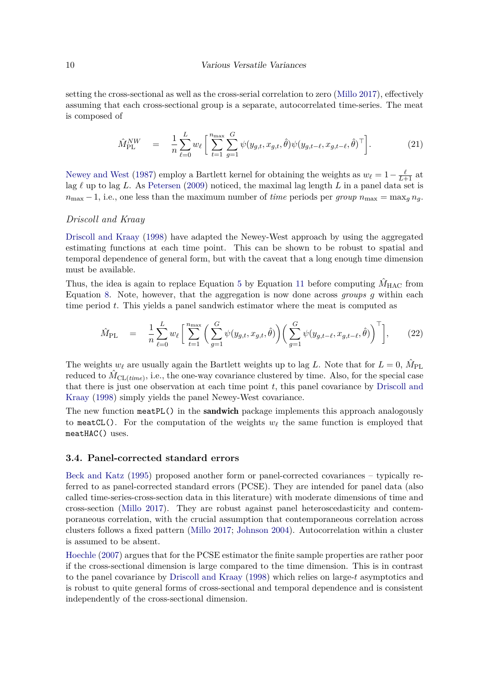setting the cross-sectional as well as the cross-serial correlation to zero [\(Millo](#page-30-8) [2017\)](#page-30-8), effectively assuming that each cross-sectional group is a separate, autocorrelated time-series. The meat is composed of

$$
\hat{M}_{\text{PL}}^{\text{NW}} = \frac{1}{n} \sum_{\ell=0}^{L} w_{\ell} \left[ \sum_{t=1}^{n_{\text{max}}} \sum_{g=1}^{G} \psi(y_{g,t}, x_{g,t}, \hat{\theta}) \psi(y_{g,t-\ell}, x_{g,t-\ell}, \hat{\theta})^{\top} \right]. \tag{21}
$$

[Newey and West](#page-31-6) [\(1987\)](#page-31-6) employ a Bartlett kernel for obtaining the weights as  $w_{\ell} = 1 - \frac{\ell}{L+1}$  at lag *ℓ* up to lag *L*. As [Petersen](#page-31-4) [\(2009\)](#page-31-4) noticed, the maximal lag length *L* in a panel data set is  $n_{\text{max}} - 1$ , i.e., one less than the maximum number of *time* periods per *group*  $n_{\text{max}} = \max_{q} n_q$ .

#### *Driscoll and Kraay*

[Driscoll and Kraay](#page-28-7) [\(1998\)](#page-28-7) have adapted the Newey-West approach by using the aggregated estimating functions at each time point. This can be shown to be robust to spatial and temporal dependence of general form, but with the caveat that a long enough time dimension must be available.

Thus, the idea is again to replace Equation [5](#page-5-2) by Equation [11](#page-6-2) before computing  $\hat{M}_{\text{HAC}}$  from Equation [8.](#page-5-0) Note, however, that the aggregation is now done across *groups g* within each time period *t*. This yields a panel sandwich estimator where the meat is computed as

$$
\hat{M}_{\text{PL}} = \frac{1}{n} \sum_{\ell=0}^{L} w_{\ell} \left[ \sum_{t=1}^{n_{\text{max}}} \left( \sum_{g=1}^{G} \psi(y_{g,t}, x_{g,t}, \hat{\theta}) \right) \left( \sum_{g=1}^{G} \psi(y_{g,t-\ell}, x_{g,t-\ell}, \hat{\theta}) \right)^{\top} \right], \tag{22}
$$

The weights  $w_{\ell}$  are usually again the Bartlett weights up to lag *L*. Note that for  $L = 0$ ,  $\hat{M}_{PL}$ reduced to  $\hat{M}_{CL(time)}$ , i.e., the one-way covariance clustered by time. Also, for the special case that there is just one observation at each time point *t*, this panel covariance by [Driscoll and](#page-28-7) [Kraay](#page-28-7) [\(1998\)](#page-28-7) simply yields the panel Newey-West covariance.

The new function meatPL() in the **sandwich** package implements this approach analogously to meatCL(). For the computation of the weights  $w_\ell$  the same function is employed that meatHAC() uses.

#### **3.4. Panel-corrected standard errors**

[Beck and Katz](#page-27-8) [\(1995\)](#page-27-8) proposed another form or panel-corrected covariances – typically referred to as panel-corrected standard errors (PCSE). They are intended for panel data (also called time-series-cross-section data in this literature) with moderate dimensions of time and cross-section [\(Millo](#page-30-8) [2017\)](#page-30-8). They are robust against panel heteroscedasticity and contemporaneous correlation, with the crucial assumption that contemporaneous correlation across clusters follows a fixed pattern [\(Millo](#page-30-8) [2017;](#page-30-8) [Johnson](#page-30-9) [2004\)](#page-30-9). Autocorrelation within a cluster is assumed to be absent.

[Hoechle](#page-29-9) [\(2007\)](#page-29-9) argues that for the PCSE estimator the finite sample properties are rather poor if the cross-sectional dimension is large compared to the time dimension. This is in contrast to the panel covariance by [Driscoll and Kraay](#page-28-7) [\(1998\)](#page-28-7) which relies on large-*t* asymptotics and is robust to quite general forms of cross-sectional and temporal dependence and is consistent independently of the cross-sectional dimension.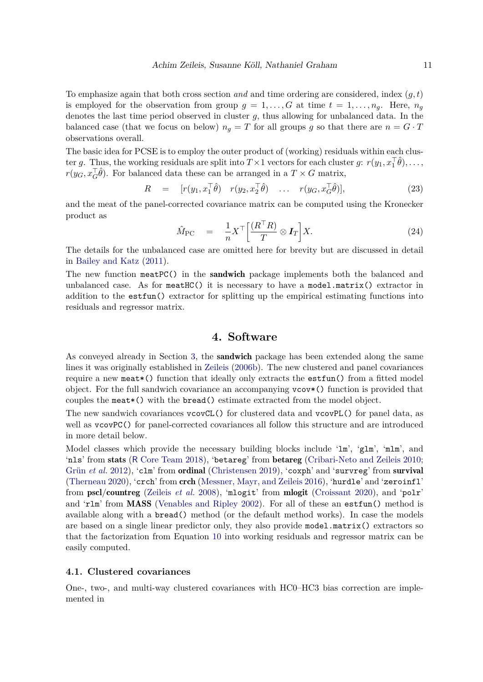To emphasize again that both cross section *and* and time ordering are considered, index (*g, t*) is employed for the observation from group  $g = 1, \ldots, G$  at time  $t = 1, \ldots, n_q$ . Here,  $n_q$ denotes the last time period observed in cluster *g*, thus allowing for unbalanced data. In the balanced case (that we focus on below)  $n_g = T$  for all groups g so that there are  $n = G \cdot T$ observations overall.

The basic idea for PCSE is to employ the outer product of (working) residuals within each cluster *g*. Thus, the working residuals are split into  $T \times 1$  vectors for each cluster *g*:  $r(y_1, x_1^{\top} \hat{\theta}), \ldots$ ,  $r(y_G, x_G^{\top} \hat{\theta})$ . For balanced data these can be arranged in a  $T \times G$  matrix,

$$
R = [r(y_1, x_1^\top \hat{\theta}) \quad r(y_2, x_2^\top \hat{\theta}) \quad \dots \quad r(y_G, x_G^\top \hat{\theta})], \tag{23}
$$

and the meat of the panel-corrected covariance matrix can be computed using the Kronecker product as

$$
\hat{M}_{\text{PC}} = \frac{1}{n} X^{\top} \left[ \frac{(R^{\top} R)}{T} \otimes I_T \right] X. \tag{24}
$$

The details for the unbalanced case are omitted here for brevity but are discussed in detail in [Bailey and Katz](#page-27-9) [\(2011\)](#page-27-9).

The new function meatPC() in the **sandwich** package implements both the balanced and unbalanced case. As for  $\text{meatHC}($ ) it is necessary to have a  $\text{model}.\text{matrix}()$  extractor in addition to the estfun() extractor for splitting up the empirical estimating functions into residuals and regressor matrix.

# **4. Software**

<span id="page-10-0"></span>As conveyed already in Section [3,](#page-4-0) the sandwich package has been extended along the same lines it was originally established in [Zeileis](#page-32-2) [\(2006b\)](#page-32-2). The new clustered and panel covariances require a new meat\*() function that ideally only extracts the estfun() from a fitted model object. For the full sandwich covariance an accompanying vcov\*() function is provided that couples the meat\*() with the bread() estimate extracted from the model object.

The new sandwich covariances vcovCL() for clustered data and vcovPL() for panel data, as well as vcovPC() for panel-corrected covariances all follow this structure and are introduced in more detail below.

Model classes which provide the necessary building blocks include 'lm', 'glm', 'mlm', and 'nls' from stats (R [Core Team](#page-31-2) [2018\)](#page-31-2), 'betareg' from betareg [\(Cribari-Neto and Zeileis](#page-28-1) [2010;](#page-28-1) [Grün](#page-29-1) *et al.* [2012\)](#page-29-1), 'clm' from **ordinal** [\(Christensen](#page-28-10) [2019\)](#page-28-10), 'coxph' and 'survreg' from survival [\(Therneau](#page-31-12) [2020\)](#page-31-12), 'crch' from crch [\(Messner, Mayr, and Zeileis](#page-30-10) [2016\)](#page-30-10), 'hurdle' and 'zeroinfl' from pscl/countreg [\(Zeileis](#page-32-3) *et al.* [2008\)](#page-32-3), 'mlogit' from mlogit [\(Croissant](#page-28-11) [2020\)](#page-28-11), and 'polr' and 'rlm' from MASS [\(Venables and Ripley](#page-31-3) [2002\)](#page-31-3). For all of these an estfun() method is available along with a bread() method (or the default method works). In case the models are based on a single linear predictor only, they also provide model.matrix() extractors so that the factorization from Equation [10](#page-5-3) into working residuals and regressor matrix can be easily computed.

### <span id="page-10-1"></span>**4.1. Clustered covariances**

One-, two-, and multi-way clustered covariances with HC0–HC3 bias correction are implemented in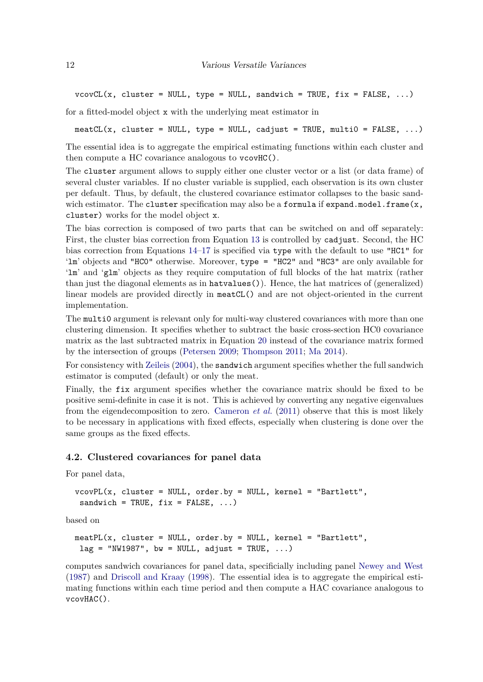$vcovCL(x, cluster = NULL, type = NULL, sandwich = TRUE, fix = FALSE, ...)$ 

for a fitted-model object x with the underlying meat estimator in

meatCL(x, cluster = NULL, type = NULL, cadjust = TRUE, multi0 = FALSE, ...)

The essential idea is to aggregate the empirical estimating functions within each cluster and then compute a HC covariance analogous to vcovHC().

The cluster argument allows to supply either one cluster vector or a list (or data frame) of several cluster variables. If no cluster variable is supplied, each observation is its own cluster per default. Thus, by default, the clustered covariance estimator collapses to the basic sandwich estimator. The cluster specification may also be a formula if expand.model.frame $(x,$ cluster) works for the model object x.

The bias correction is composed of two parts that can be switched on and off separately: First, the cluster bias correction from Equation [13](#page-6-1) is controlled by cadjust. Second, the HC bias correction from Equations [14–17](#page-7-0) is specified via type with the default to use "HC1" for 'lm' objects and "HC0" otherwise. Moreover, type = "HC2" and "HC3" are only available for 'lm' and 'glm' objects as they require computation of full blocks of the hat matrix (rather than just the diagonal elements as in hatvalues()). Hence, the hat matrices of (generalized) linear models are provided directly in meatCL() and are not object-oriented in the current implementation.

The multi0 argument is relevant only for multi-way clustered covariances with more than one clustering dimension. It specifies whether to subtract the basic cross-section HC0 covariance matrix as the last subtracted matrix in Equation [20](#page-8-0) instead of the covariance matrix formed by the intersection of groups [\(Petersen](#page-31-4) [2009;](#page-31-4) [Thompson](#page-31-11) [2011;](#page-31-11) [Ma](#page-30-7) [2014\)](#page-30-7).

For consistency with [Zeileis](#page-32-1) [\(2004\)](#page-32-1), the sandwich argument specifies whether the full sandwich estimator is computed (default) or only the meat.

Finally, the fix argument specifies whether the covariance matrix should be fixed to be positive semi-definite in case it is not. This is achieved by converting any negative eigenvalues from the eigendecomposition to zero. [Cameron](#page-28-4) *et al.* [\(2011\)](#page-28-4) observe that this is most likely to be necessary in applications with fixed effects, especially when clustering is done over the same groups as the fixed effects.

#### **4.2. Clustered covariances for panel data**

For panel data,

```
vcovPL(x, cluster = NULL, order. by = NULL, kernel = "Bartlett",sandwich = TRUE, fix = FALSE, ...
```
based on

 $meatPL(x, cluster = NULL, order. by = NULL, kernel = "Bartlett",$  $lag = "NW1987", bw = NULL, adjust = TRUE, ...)$ 

computes sandwich covariances for panel data, specificially including panel [Newey and West](#page-31-6) [\(1987\)](#page-31-6) and [Driscoll and Kraay](#page-28-7) [\(1998\)](#page-28-7). The essential idea is to aggregate the empirical estimating functions within each time period and then compute a HAC covariance analogous to vcovHAC().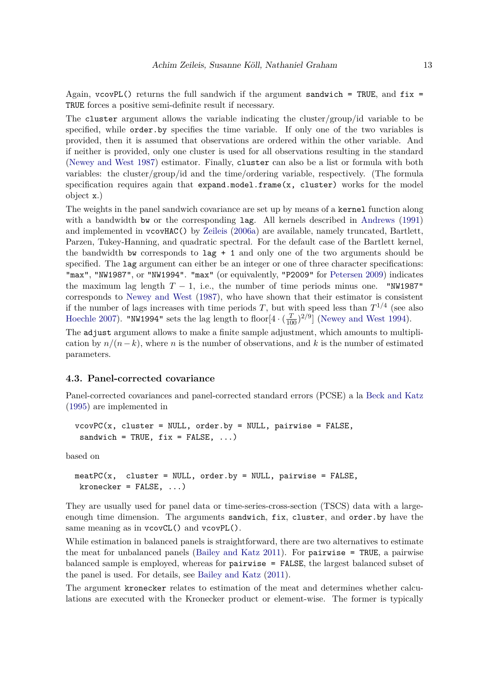Again,  $vcovPL()$  returns the full sandwich if the argument sandwich = TRUE, and fix = TRUE forces a positive semi-definite result if necessary.

The cluster argument allows the variable indicating the cluster/group/id variable to be specified, while order.by specifies the time variable. If only one of the two variables is provided, then it is assumed that observations are ordered within the other variable. And if neither is provided, only one cluster is used for all observations resulting in the standard [\(Newey and West](#page-31-6) [1987\)](#page-31-6) estimator. Finally, cluster can also be a list or formula with both variables: the cluster/group/id and the time/ordering variable, respectively. (The formula specification requires again that expand.model.frame(x, cluster) works for the model object x.)

The weights in the panel sandwich covariance are set up by means of a kernel function along with a bandwidth bw or the corresponding lag. All kernels described in [Andrews](#page-27-2) [\(1991\)](#page-27-2) and implemented in vcovHAC() by [Zeileis](#page-32-7) [\(2006a\)](#page-32-7) are available, namely truncated, Bartlett, Parzen, Tukey-Hanning, and quadratic spectral. For the default case of the Bartlett kernel, the bandwidth bw corresponds to  $\text{lag} + 1$  and only one of the two arguments should be specified. The lag argument can either be an integer or one of three character specifications: "max", "NW1987", or "NW1994". "max" (or equivalently, "P2009" for [Petersen](#page-31-4) [2009\)](#page-31-4) indicates the maximum lag length  $T-1$ , i.e., the number of time periods minus one. "NW1987" corresponds to [Newey and West](#page-31-6) [\(1987\)](#page-31-6), who have shown that their estimator is consistent if the number of lags increases with time periods *T*, but with speed less than  $T^{1/4}$  (see also [Hoechle](#page-29-9) [2007\)](#page-29-9). "NW1994" sets the lag length to floor $[4 \cdot (\frac{T}{100})^{2/9}]$  [\(Newey and West](#page-31-7) [1994\)](#page-31-7).

The adjust argument allows to make a finite sample adjustment, which amounts to multiplication by  $n/(n-k)$ , where *n* is the number of observations, and *k* is the number of estimated parameters.

### **4.3. Panel-corrected covariance**

Panel-corrected covariances and panel-corrected standard errors (PCSE) a la [Beck and Katz](#page-27-8) [\(1995\)](#page-27-8) are implemented in

```
vcovPC(x, cluster = NULL, order by = NULL, pairwise = FALSE,sandwich = TRUE, fix = FALSE, ...
```
based on

```
meatPC(x, cluster = NULL, order.by = NULL, pairwise = FALSE,kronecker = FALSE, ...)
```
They are usually used for panel data or time-series-cross-section (TSCS) data with a largeenough time dimension. The arguments sandwich, fix, cluster, and order.by have the same meaning as in vcovCL() and vcovPL().

While estimation in balanced panels is straightforward, there are two alternatives to estimate the meat for unbalanced panels [\(Bailey and Katz](#page-27-9) [2011\)](#page-27-9). For pairwise = TRUE, a pairwise balanced sample is employed, whereas for pairwise = FALSE, the largest balanced subset of the panel is used. For details, see [Bailey and Katz](#page-27-9) [\(2011\)](#page-27-9).

The argument kronecker relates to estimation of the meat and determines whether calculations are executed with the Kronecker product or element-wise. The former is typically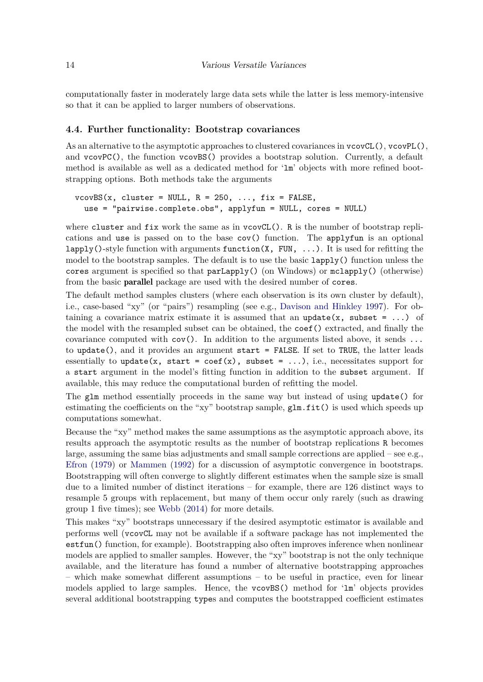computationally faster in moderately large data sets while the latter is less memory-intensive so that it can be applied to larger numbers of observations.

### **4.4. Further functionality: Bootstrap covariances**

As an alternative to the asymptotic approaches to clustered covariances in  $\text{vcov}\text{CL}($ ,  $\text{vcov}\text{PL}()$ , and vcovPC(), the function vcovBS() provides a bootstrap solution. Currently, a default method is available as well as a dedicated method for 'lm' objects with more refined bootstrapping options. Both methods take the arguments

 $vcovBS(x, cluster = NULL, R = 250, ..., fix = FALSE,$ use = "pairwise.complete.obs", applyfun = NULL, cores = NULL)

where cluster and fix work the same as in  $vcovCL()$ . R is the number of bootstrap replications and use is passed on to the base cov() function. The applyfun is an optional lapply()-style function with arguments function( $X$ , FUN, ...). It is used for refitting the model to the bootstrap samples. The default is to use the basic lapply() function unless the cores argument is specified so that parLapply() (on Windows) or mclapply() (otherwise) from the basic parallel package are used with the desired number of cores.

The default method samples clusters (where each observation is its own cluster by default), i.e., case-based "xy" (or "pairs") resampling (see e.g., [Davison and Hinkley](#page-28-12) [1997\)](#page-28-12). For obtaining a covariance matrix estimate it is assumed that an update $(x, \text{ subset} = \ldots)$  of the model with the resampled subset can be obtained, the coef() extracted, and finally the covariance computed with  $cov()$ . In addition to the arguments listed above, it sends  $\ldots$ to update(), and it provides an argument start  $=$  FALSE. If set to TRUE, the latter leads essentially to update(x, start = coef(x), subset =  $\dots$ ), i.e., necessitates support for a start argument in the model's fitting function in addition to the subset argument. If available, this may reduce the computational burden of refitting the model.

The glm method essentially proceeds in the same way but instead of using update() for estimating the coefficients on the "xy" bootstrap sample,  $glm.fit()$  is used which speeds up computations somewhat.

Because the "xy" method makes the same assumptions as the asymptotic approach above, its results approach the asymptotic results as the number of bootstrap replications R becomes large, assuming the same bias adjustments and small sample corrections are applied – see e.g., [Efron](#page-28-13) [\(1979\)](#page-28-13) or [Mammen](#page-30-11) [\(1992\)](#page-30-11) for a discussion of asymptotic convergence in bootstraps. Bootstrapping will often converge to slightly different estimates when the sample size is small due to a limited number of distinct iterations – for example, there are 126 distinct ways to resample 5 groups with replacement, but many of them occur only rarely (such as drawing group 1 five times); see [Webb](#page-32-8) [\(2014\)](#page-32-8) for more details.

This makes "xy" bootstraps unnecessary if the desired asymptotic estimator is available and performs well (vcovCL may not be available if a software package has not implemented the estfun() function, for example). Bootstrapping also often improves inference when nonlinear models are applied to smaller samples. However, the "xy" bootstrap is not the only technique available, and the literature has found a number of alternative bootstrapping approaches – which make somewhat different assumptions – to be useful in practice, even for linear models applied to large samples. Hence, the vcovBS() method for 'lm' objects provides several additional bootstrapping types and computes the bootstrapped coefficient estimates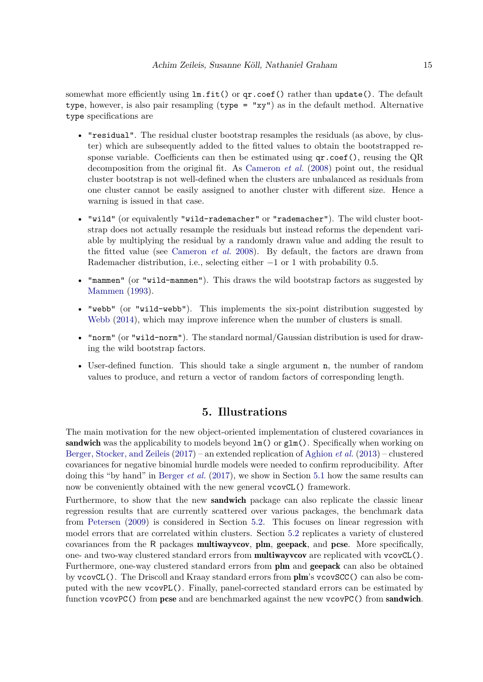somewhat more efficiently using  $\text{ln.fit}()$  or  $\text{qr.coef()}$  rather than update(). The default type, however, is also pair resampling (type = "xy") as in the default method. Alternative type specifications are

- "residual". The residual cluster bootstrap resamples the residuals (as above, by cluster) which are subsequently added to the fitted values to obtain the bootstrapped response variable. Coefficients can then be estimated using  $qr.c$  oef (), reusing the QR decomposition from the original fit. As [Cameron](#page-28-8) *et al.* [\(2008\)](#page-28-8) point out, the residual cluster bootstrap is not well-defined when the clusters are unbalanced as residuals from one cluster cannot be easily assigned to another cluster with different size. Hence a warning is issued in that case.
- "wild" (or equivalently "wild-rademacher" or "rademacher"). The wild cluster bootstrap does not actually resample the residuals but instead reforms the dependent variable by multiplying the residual by a randomly drawn value and adding the result to the fitted value (see [Cameron](#page-28-8) *et al.* [2008\)](#page-28-8). By default, the factors are drawn from Rademacher distribution, i.e., selecting either −1 or 1 with probability 0*.*5.
- "mammen" (or "wild-mammen"). This draws the wild bootstrap factors as suggested by [Mammen](#page-30-12) [\(1993\)](#page-30-12).
- "webb" (or "wild-webb"). This implements the six-point distribution suggested by [Webb](#page-32-8) [\(2014\)](#page-32-8), which may improve inference when the number of clusters is small.
- "norm" (or "wild-norm"). The standard normal/Gaussian distribution is used for drawing the wild bootstrap factors.
- User-defined function. This should take a single argument n, the number of random values to produce, and return a vector of random factors of corresponding length.

# **5. Illustrations**

<span id="page-14-0"></span>The main motivation for the new object-oriented implementation of clustered covariances in sandwich was the applicability to models beyond  $\text{Im}()$  or  $\text{g1m}()$ . Specifically when working on [Berger, Stocker, and Zeileis](#page-28-14) [\(2017\)](#page-28-14) – an extended replication of [Aghion](#page-27-0) *et al.* [\(2013\)](#page-27-0) – clustered covariances for negative binomial hurdle models were needed to confirm reproducibility. After doing this "by hand" in [Berger](#page-28-14) *et al.* [\(2017\)](#page-28-14), we show in Section [5.1](#page-15-0) how the same results can now be conveniently obtained with the new general vcovCL() framework.

Furthermore, to show that the new sandwich package can also replicate the classic linear regression results that are currently scattered over various packages, the benchmark data from [Petersen](#page-31-4) [\(2009\)](#page-31-4) is considered in Section [5.2.](#page-16-0) This focuses on linear regression with model errors that are correlated within clusters. Section [5.2](#page-16-0) replicates a variety of clustered covariances from the R packages multiwayvcov, plm, geepack, and pcse. More specifically, one- and two-way clustered standard errors from **multiwayvcov** are replicated with vcovCL(). Furthermore, one-way clustered standard errors from plm and geepack can also be obtained by vcovCL(). The Driscoll and Kraay standard errors from plm's vcovSCC() can also be computed with the new vcovPL(). Finally, panel-corrected standard errors can be estimated by function  $\text{vcovPC}()$  from  $\text{pcse}$  and are benchmarked against the new  $\text{vcovPC}()$  from sandwich.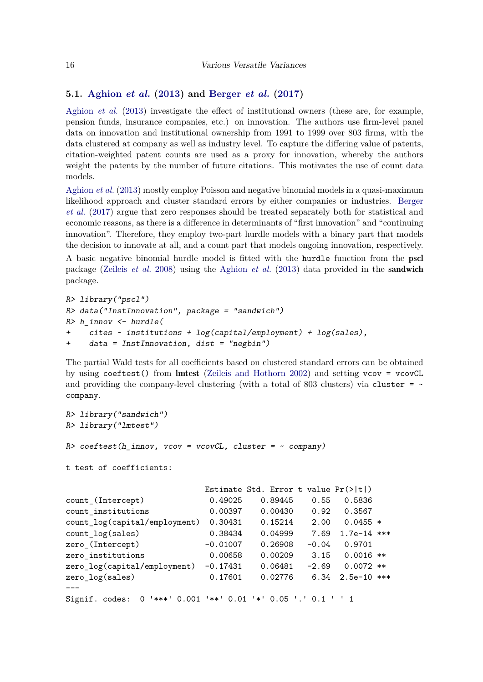### <span id="page-15-0"></span>**5.1. [Aghion](#page-27-0)** *et al.* **[\(2013\)](#page-27-0) and [Berger](#page-28-14)** *et al.* **[\(2017\)](#page-28-14)**

[Aghion](#page-27-0) *et al.* [\(2013\)](#page-27-0) investigate the effect of institutional owners (these are, for example, pension funds, insurance companies, etc.) on innovation. The authors use firm-level panel data on innovation and institutional ownership from 1991 to 1999 over 803 firms, with the data clustered at company as well as industry level. To capture the differing value of patents, citation-weighted patent counts are used as a proxy for innovation, whereby the authors weight the patents by the number of future citations. This motivates the use of count data models.

[Aghion](#page-27-0) *et al.* [\(2013\)](#page-27-0) mostly employ Poisson and negative binomial models in a quasi-maximum likelihood approach and cluster standard errors by either companies or industries. [Berger](#page-28-14) *[et al.](#page-28-14)* [\(2017\)](#page-28-14) argue that zero responses should be treated separately both for statistical and economic reasons, as there is a difference in determinants of "first innovation" and "continuing innovation". Therefore, they employ two-part hurdle models with a binary part that models the decision to innovate at all, and a count part that models ongoing innovation, respectively.

A basic negative binomial hurdle model is fitted with the hurdle function from the pscl package [\(Zeileis](#page-32-3) *et al.* [2008\)](#page-32-3) using the [Aghion](#page-27-0) *et al.* [\(2013\)](#page-27-0) data provided in the sandwich package.

```
R> library("pscl")
R> data("InstInnovation", package = "sandwich")
R> h_innov <- hurdle(
+ cites ~ institutions + log(capital/employment) + log(sales),
+ data = InstInnovation, dist = "negbin")
```
The partial Wald tests for all coefficients based on clustered standard errors can be obtained by using coeftest() from lmtest [\(Zeileis and Hothorn](#page-32-6) [2002\)](#page-32-6) and setting vcov = vcovCL and providing the company-level clustering (with a total of 803 clusters) via cluster =  $\sim$ company.

```
R> library("sandwich")
R> library("lmtest")
R> coeftest(h_innov, vcov = vcovCL, cluster = ~ company)
t test of coefficients:
                        Estimate Std. Error t value Pr(>|t|)
count_(Intercept) 0.49025 0.89445 0.55 0.5836
count_institutions 0.00397 0.00430 0.92 0.3567
count_log(capital/employment) 0.30431 0.15214 2.00 0.0455 *
count_log(sales) 0.38434 0.04999 7.69 1.7e-14 ***
zero_(Intercept) -0.01007 0.26908 -0.04 0.9701
zero_institutions 0.00658 0.00209 3.15 0.0016 **
zero_log(capital/employment) -0.17431 0.06481 -2.69 0.0072 **
zero_log(sales) 0.17601 0.02776 6.34 2.5e-10 ***
---
Signif. codes: 0 '***' 0.001 '**' 0.01 '*' 0.05 '.' 0.1 ' ' 1
```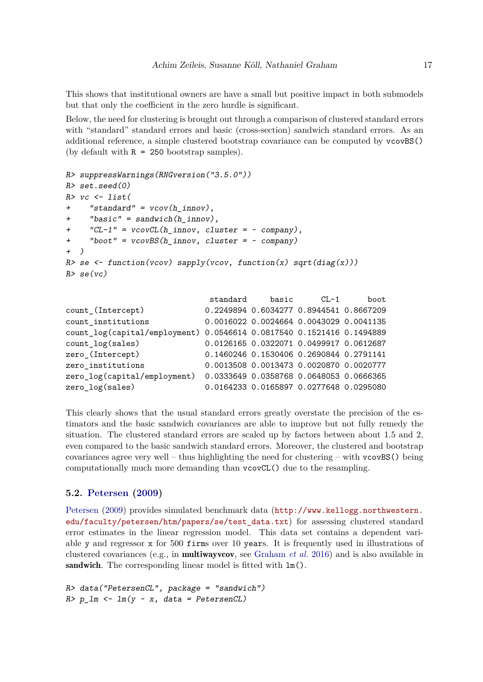This shows that institutional owners are have a small but positive impact in both submodels but that only the coefficient in the zero hurdle is significant.

Below, the need for clustering is brought out through a comparison of clustered standard errors with "standard" standard errors and basic (cross-section) sandwich standard errors. As an additional reference, a simple clustered bootstrap covariance can be computed by vcovBS() (by default with  $R = 250$  bootstrap samples).

```
R> suppressWarnings(RNGversion("3.5.0"))
R> set.seed(0)
R> vc \leftarrow list(
+ "standard" = vcov(h_innov),
+ "basic" = sandwich(h_innov),
    "CL-1" = vcovCL(h_innov, cluster = ~ company),
     "boot" = vcovBS(h_innov, cluster = ~ company)+ )
R> se <- function(vcov) sapply(vcov, function(x) sqrt(diag(x)))
R > \text{se}(vc)standard basic CL-1 boot
count_(Intercept) 0.2249894 0.6034277 0.8944541 0.8667209
count_institutions 0.0016022 0.0024664 0.0043029 0.0041135
count_log(capital/employment) 0.0546614 0.0817540 0.1521416 0.1494889
count_log(sales) 0.0126165 0.0322071 0.0499917 0.0612687
zero_(Intercept) 0.1460246 0.1530406 0.2690844 0.2791141
zero_institutions 0.0013508 0.0013473 0.0020870 0.0020777
zero_log(capital/employment) 0.0333649 0.0358768 0.0648053 0.0666365
```
zero\_log(sales) 0.0164233 0.0165897 0.0277648 0.0295080

This clearly shows that the usual standard errors greatly overstate the precision of the estimators and the basic sandwich covariances are able to improve but not fully remedy the situation. The clustered standard errors are scaled up by factors between about 1*.*5 and 2, even compared to the basic sandwich standard errors. Moreover, the clustered and bootstrap covariances agree very well – thus highlighting the need for clustering – with  $\gamma$  v  $\gamma$  being computationally much more demanding than vcovCL() due to the resampling.

### <span id="page-16-0"></span>**5.2. [Petersen](#page-31-4) [\(2009\)](#page-31-4)**

[Petersen](#page-31-4) [\(2009\)](#page-31-4) provides simulated benchmark data ([http://www.kellogg.northwestern.](http://www.kellogg.northwestern.edu/faculty/petersen/htm/papers/se/test_data.txt) [edu/faculty/petersen/htm/papers/se/test\\_data.txt](http://www.kellogg.northwestern.edu/faculty/petersen/htm/papers/se/test_data.txt)) for assessing clustered standard error estimates in the linear regression model. This data set contains a dependent variable y and regressor x for 500 firms over 10 years. It is frequently used in illustrations of clustered covariances (e.g., in multiwayvcov, see [Graham](#page-29-7) *et al.* [2016\)](#page-29-7) and is also available in sandwich. The corresponding linear model is fitted with  $lm()$ .

```
R> data("PetersenCL", package = "sandwich")
R > p_l/m \leftarrow lm(y \sim x, data = PetersenCL)
```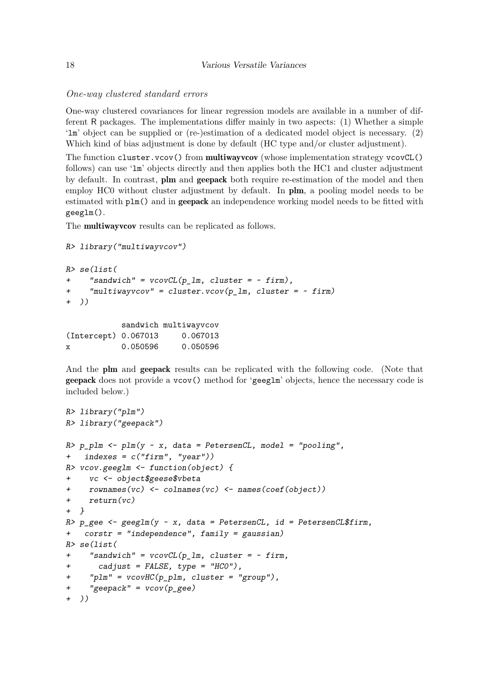### *One-way clustered standard errors*

One-way clustered covariances for linear regression models are available in a number of different R packages. The implementations differ mainly in two aspects: (1) Whether a simple 'lm' object can be supplied or (re-)estimation of a dedicated model object is necessary. (2) Which kind of bias adjustment is done by default (HC type and/or cluster adjustment).

The function cluster.vcov() from multiwayvcov (whose implementation strategy vcovCL() follows) can use 'lm' objects directly and then applies both the HC1 and cluster adjustment by default. In contrast, plm and geepack both require re-estimation of the model and then employ HC0 without cluster adjustment by default. In plm, a pooling model needs to be estimated with  $plm()$  and in **geepack** an independence working model needs to be fitted with geeglm().

The multiwayvcov results can be replicated as follows.

```
R> library("multiwayvcov")
```

```
R> se(list(
+ "sandwich" = vcovCL(p_lm, cluster = ~ firm),
+ "multiwayvcov" = cluster.vcov(p_lm, cluster = ~ firm)
+ ))
           sandwich multiwayvcov
```

|                      |          | bandwich maiolwayvcov |
|----------------------|----------|-----------------------|
| (Intercept) 0.067013 |          | 0.067013              |
| х                    | 0.050596 | 0.050596              |

And the plm and geepack results can be replicated with the following code. (Note that geepack does not provide a vcov() method for 'geeglm' objects, hence the necessary code is included below.)

```
R> library("plm")
R> library("geepack")
R> p\_plm <- plm(y \sim x, data = PetersenCL, model = "pooling",
+ indexes = c("firm", "year"))
R> vcov.geeglm <- function(object) {
+ vc <- object$geese$vbeta
     r{\circ} rownames(vc) <- colnames(vc) <- names(coef(object))
+ return(vc)
+ }
R> p\_gee <- geglm(y \sim x, data = PetersenCL, id = PetersenCL$firm,+ corstr = "independence", family = gaussian)
R> se(list(
+ "sandwich" = vcovCL(p_l_m, cluster = ~ firm,+ cadjust = FALSE, type = "HC0"),
     "plm" = vcovHC(p\_plm, cluster = "group")," <i>geepack"</i> = <i>vcov</i>(<math>p</math> <i>gee</i>)))
```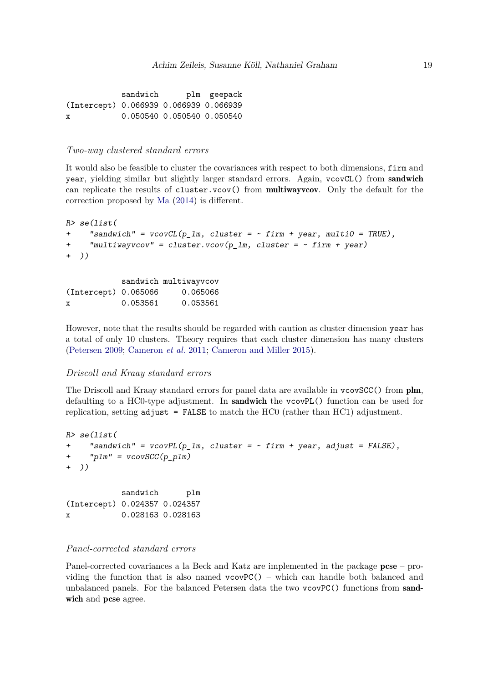sandwich plm geepack (Intercept) 0.066939 0.066939 0.066939 x 0.050540 0.050540 0.050540

#### *Two-way clustered standard errors*

It would also be feasible to cluster the covariances with respect to both dimensions, firm and year, yielding similar but slightly larger standard errors. Again, vcovCL() from sandwich can replicate the results of cluster.vcov() from multiwayvcov. Only the default for the correction proposed by [Ma](#page-30-7) [\(2014\)](#page-30-7) is different.

```
R> se(list(
    "sandwich" = vcovCL(p\_lm, cluster = ~ firm + year, multi0 = TRUE),
    "multiwayvcov" = cluster.vcov(p_1, cluster) = cluster+ ))
```
sandwich multiwayvcov (Intercept) 0.065066 0.065066 x 0.053561 0.053561

However, note that the results should be regarded with caution as cluster dimension year has a total of only 10 clusters. Theory requires that each cluster dimension has many clusters [\(Petersen](#page-31-4) [2009;](#page-31-4) [Cameron](#page-28-4) *et al.* [2011;](#page-28-4) [Cameron and Miller](#page-28-0) [2015\)](#page-28-0).

#### *Driscoll and Kraay standard errors*

The Driscoll and Kraay standard errors for panel data are available in vcovSCC() from plm, defaulting to a HC0-type adjustment. In sandwich the vcovPL() function can be used for replication, setting  $\text{adjust} = \text{FALSE}$  to match the HC0 (rather than HC1) adjustment.

```
R> se(list(
+ "sandwich" = vcovPL(p_lm, cluster = ~ firm + year, adjust = FALSE),
+ "plm" = vcovSCC(p_plm)
+ ))
          sandwich plm
(Intercept) 0.024357 0.024357
x 0.028163 0.028163
```
### *Panel-corrected standard errors*

Panel-corrected covariances a la Beck and Katz are implemented in the package  $p c s e - p r o$ viding the function that is also named  $vcovPC()$  – which can handle both balanced and unbalanced panels. For the balanced Petersen data the two vcovPC() functions from sandwich and pcse agree.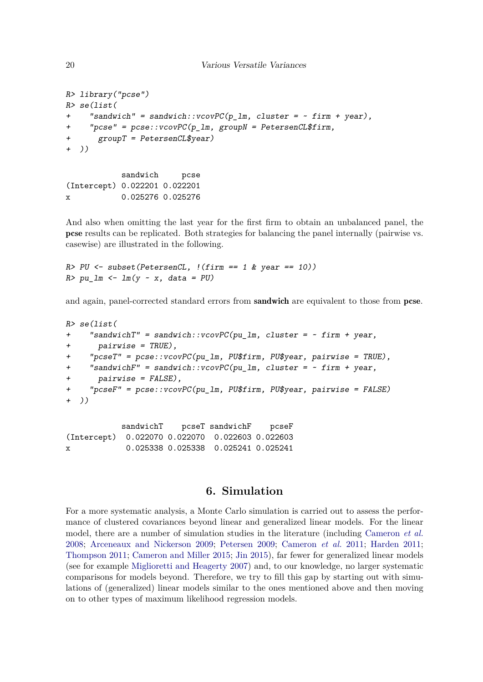```
20 Various Versatile Variances
```

```
R> library("pcse")
R> se(list(
     "sandwich" = sandwich::vcovPC(p_1m, cluster = ~ firm + year),
     "pcse" = pcse::vcovPC(p_l_m, groupN = PetersenCL$firm,+ groupT = PetersenCL$year)
+ ))
```
sandwich pcse (Intercept) 0.022201 0.022201 x 0.025276 0.025276

And also when omitting the last year for the first firm to obtain an unbalanced panel, the pcse results can be replicated. Both strategies for balancing the panel internally (pairwise vs. casewise) are illustrated in the following.

 $R > PU \leftarrow subset(PetersenCL, !(firm == 1 & year == 10))$  $R> pu\_lm \leftarrow lm(y \sim x, data = PU)$ 

and again, panel-corrected standard errors from sandwich are equivalent to those from pcse.

```
R> se(list(
+ "sandwichT" = sandwich::vcovPC(pu_lm, cluster = ~ firm + year,
+ pairwise = TRUE),
     "pcseT" = pce::vcovPC(pu_1m, PU$firm, PU$year, pairwise = TRUE),"sandwichF" = sandwich::vcovPC(pu_lm, cluster = \sim firm + year,
      pairwise = FALSE),
+ "pcseF" = pcse::vcovPC(pu_lm, PU$firm, PU$year, pairwise = FALSE)
  ))
```
sandwichT pcseT sandwichF pcseF (Intercept) 0.022070 0.022070 0.022603 0.022603 x 0.025338 0.025338 0.025241 0.025241

# **6. Simulation**

<span id="page-19-0"></span>For a more systematic analysis, a Monte Carlo simulation is carried out to assess the performance of clustered covariances beyond linear and generalized linear models. For the linear model, there are a number of simulation studies in the literature (including [Cameron](#page-28-8) *et al.* [2008;](#page-28-8) [Arceneaux and Nickerson](#page-27-10) [2009;](#page-27-10) [Petersen](#page-31-4) [2009;](#page-31-4) [Cameron](#page-28-4) *et al.* [2011;](#page-28-4) [Harden](#page-29-10) [2011;](#page-29-10) [Thompson](#page-31-11) [2011;](#page-31-11) [Cameron and Miller](#page-28-0) [2015;](#page-28-0) [Jin](#page-29-11) [2015\)](#page-29-11), far fewer for generalized linear models (see for example [Miglioretti and Heagerty](#page-30-6) [2007\)](#page-30-6) and, to our knowledge, no larger systematic comparisons for models beyond. Therefore, we try to fill this gap by starting out with simulations of (generalized) linear models similar to the ones mentioned above and then moving on to other types of maximum likelihood regression models.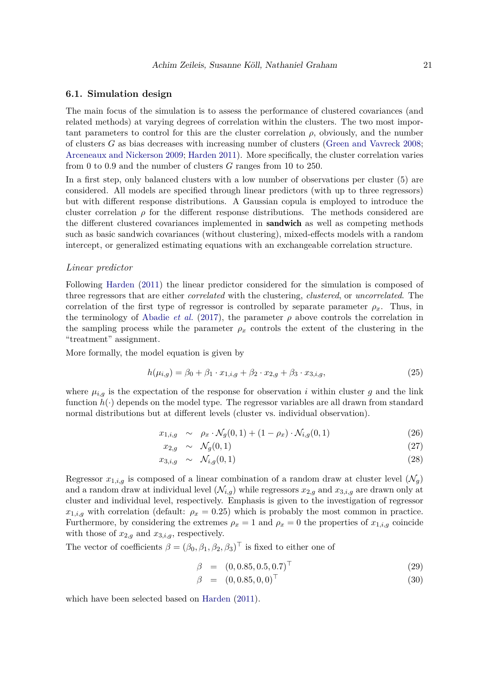#### **6.1. Simulation design**

The main focus of the simulation is to assess the performance of clustered covariances (and related methods) at varying degrees of correlation within the clusters. The two most important parameters to control for this are the cluster correlation  $\rho$ , obviously, and the number of clusters *G* as bias decreases with increasing number of clusters [\(Green and Vavreck](#page-29-12) [2008;](#page-29-12) [Arceneaux and Nickerson](#page-27-10) [2009;](#page-27-10) [Harden](#page-29-10) [2011\)](#page-29-10). More specifically, the cluster correlation varies from 0 to 0*.*9 and the number of clusters *G* ranges from 10 to 250.

In a first step, only balanced clusters with a low number of observations per cluster (5) are considered. All models are specified through linear predictors (with up to three regressors) but with different response distributions. A Gaussian copula is employed to introduce the cluster correlation  $\rho$  for the different response distributions. The methods considered are the different clustered covariances implemented in **sandwich** as well as competing methods such as basic sandwich covariances (without clustering), mixed-effects models with a random intercept, or generalized estimating equations with an exchangeable correlation structure.

#### *Linear predictor*

Following [Harden](#page-29-10) [\(2011\)](#page-29-10) the linear predictor considered for the simulation is composed of three regressors that are either *correlated* with the clustering, *clustered*, or *uncorrelated*. The correlation of the first type of regressor is controlled by separate parameter  $\rho_x$ . Thus, in the terminology of [Abadie](#page-27-5) *et al.* [\(2017\)](#page-27-5), the parameter  $\rho$  above controls the correlation in the sampling process while the parameter  $\rho_x$  controls the extent of the clustering in the "treatment" assignment.

More formally, the model equation is given by

$$
h(\mu_{i,g}) = \beta_0 + \beta_1 \cdot x_{1,i,g} + \beta_2 \cdot x_{2,g} + \beta_3 \cdot x_{3,i,g},\tag{25}
$$

where  $\mu_{i,g}$  is the expectation of the response for observation *i* within cluster *g* and the link function  $h(\cdot)$  depends on the model type. The regressor variables are all drawn from standard normal distributions but at different levels (cluster vs. individual observation).

$$
x_{1,i,g} \sim \rho_x \cdot \mathcal{N}_g(0,1) + (1 - \rho_x) \cdot \mathcal{N}_{i,g}(0,1) \tag{26}
$$

$$
x_{2,g} \sim \mathcal{N}_g(0,1) \tag{27}
$$

$$
x_{3,i,g} \sim \mathcal{N}_{i,g}(0,1) \tag{28}
$$

Regressor  $x_{1,i,g}$  is composed of a linear combination of a random draw at cluster level  $(\mathcal{N}_g)$ and a random draw at individual level  $(\mathcal{N}_{i,q})$  while regressors  $x_{2,q}$  and  $x_{3,i,q}$  are drawn only at cluster and individual level, respectively. Emphasis is given to the investigation of regressor  $x_{1,i,g}$  with correlation (default:  $\rho_x = 0.25$ ) which is probably the most common in practice. Furthermore, by considering the extremes  $\rho_x = 1$  and  $\rho_x = 0$  the properties of  $x_{1,i,g}$  coincide with those of  $x_{2,g}$  and  $x_{3,i,g}$ , respectively.

The vector of coefficients  $\beta = (\beta_0, \beta_1, \beta_2, \beta_3)^\top$  is fixed to either one of

$$
\beta = (0, 0.85, 0.5, 0.7)^{\top} \tag{29}
$$

$$
\beta = (0, 0.85, 0, 0)^{\top} \tag{30}
$$

which have been selected based on [Harden](#page-29-10) [\(2011\)](#page-29-10).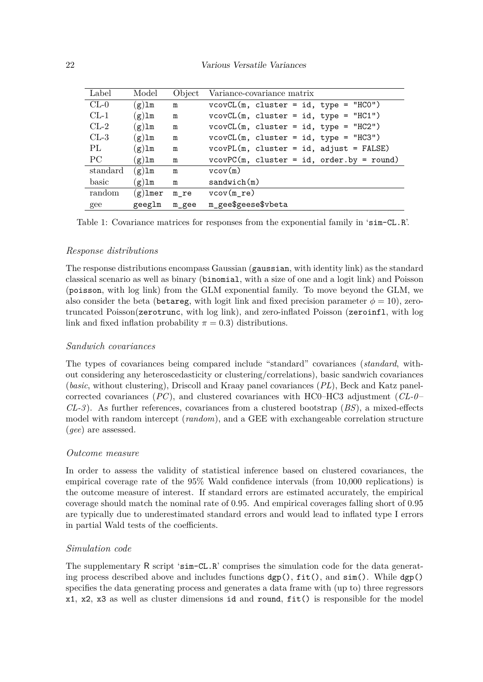| Label                    | Model      | Object | Variance-covariance matrix                  |
|--------------------------|------------|--------|---------------------------------------------|
| $CL-0$                   | $(g)$ lm   | m      | $vcovCL(m, cluster = id, type = "HCO")$     |
| $CL-1$                   | $(g)$ lm   | m      | $vcovCL(m, cluster = id, type = "HCl")$     |
| $CL-2$                   | $(g)$ lm   | m      | $vcovCL(m, cluster = id, type = "HC2")$     |
| $CL-3$                   | $(g)$ lm   | m      | $vcovCL(m, cluster = id, type = "HCS")$     |
| PL                       | $(g)$ lm   | m      | $vcovPL(m, cluster = id, adjust = FALSE)$   |
| $\overline{\mathrm{PC}}$ | $(g)$ lm   | m      | $vcovPC(m, cluster = id, order by = round)$ |
| standard                 | $(g)$ lm   | m      | vcov(m)                                     |
| basic                    | $(g)$ lm   | m      | sandwich(m)                                 |
| random                   | $(g)$ lmer | m re   | $vcov(m_re)$                                |
| gee                      | geeglm     | m gee  | m_gee\$geese\$vbeta                         |

<span id="page-21-0"></span>Table 1: Covariance matrices for responses from the exponential family in 'sim-CL.R'.

### *Response distributions*

The response distributions encompass Gaussian (gaussian, with identity link) as the standard classical scenario as well as binary (binomial, with a size of one and a logit link) and Poisson (poisson, with log link) from the GLM exponential family. To move beyond the GLM, we also consider the beta (betareg, with logit link and fixed precision parameter  $\phi = 10$ ), zerotruncated Poisson(zerotrunc, with log link), and zero-inflated Poisson (zeroinfl, with log link and fixed inflation probability  $\pi = 0.3$ ) distributions.

### *Sandwich covariances*

The types of covariances being compared include "standard" covariances (*standard*, without considering any heteroscedasticity or clustering/correlations), basic sandwich covariances (*basic*, without clustering), Driscoll and Kraay panel covariances (*PL*), Beck and Katz panelcorrected covariances (*PC*), and clustered covariances with HC0–HC3 adjustment (*CL-0* – *CL-3* ). As further references, covariances from a clustered bootstrap (*BS*), a mixed-effects model with random intercept (*random*), and a GEE with exchangeable correlation structure (*gee*) are assessed.

### *Outcome measure*

In order to assess the validity of statistical inference based on clustered covariances, the empirical coverage rate of the 95% Wald confidence intervals (from 10,000 replications) is the outcome measure of interest. If standard errors are estimated accurately, the empirical coverage should match the nominal rate of 0*.*95. And empirical coverages falling short of 0*.*95 are typically due to underestimated standard errors and would lead to inflated type I errors in partial Wald tests of the coefficients.

### *Simulation code*

The supplementary R script 'sim-CL.R' comprises the simulation code for the data generating process described above and includes functions  $\text{dgp}()$ ,  $\text{fit}()$ , and  $\text{sim}()$ . While  $\text{dgp}()$ specifies the data generating process and generates a data frame with (up to) three regressors x1, x2, x3 as well as cluster dimensions id and round, fit() is responsible for the model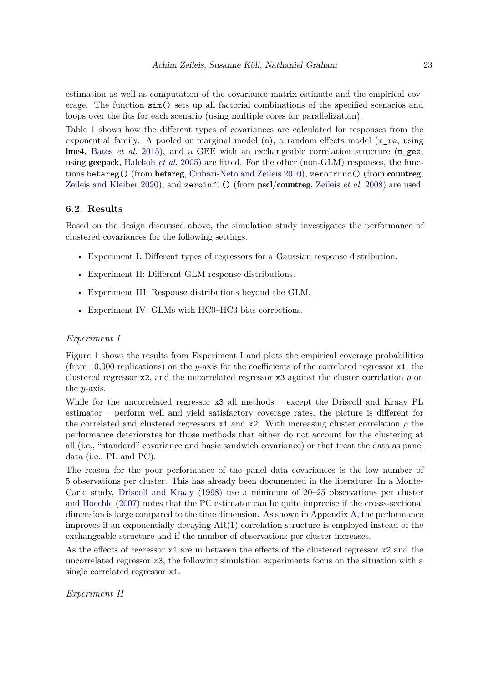estimation as well as computation of the covariance matrix estimate and the empirical coverage. The function sim() sets up all factorial combinations of the specified scenarios and loops over the fits for each scenario (using multiple cores for parallelization).

Table [1](#page-21-0) shows how the different types of covariances are calculated for responses from the exponential family. A pooled or marginal model  $(m)$ , a random effects model  $(m \text{ re. } using)$ lme4, [Bates](#page-27-1) *et al.* [2015\)](#page-27-1), and a GEE with an exchangeable correlation structure (m\_gee, using geepack, [Halekoh](#page-29-2) *et al.* [2005\)](#page-29-2) are fitted. For the other (non-GLM) responses, the functions betareg() (from betareg, [Cribari-Neto and Zeileis](#page-28-1) [2010\)](#page-28-1), zerotrunc() (from countreg, [Zeileis and Kleiber](#page-32-9) [2020\)](#page-32-9), and zeroinfl() (from pscl/countreg, [Zeileis](#page-32-3) *et al.* [2008\)](#page-32-3) are used.

### **6.2. Results**

Based on the design discussed above, the simulation study investigates the performance of clustered covariances for the following settings.

- Experiment I: Different types of regressors for a Gaussian response distribution.
- Experiment II: Different GLM response distributions.
- Experiment III: Response distributions beyond the GLM.
- Experiment IV: GLMs with HC0–HC3 bias corrections.

### *Experiment I*

Figure [1](#page-23-0) shows the results from Experiment I and plots the empirical coverage probabilities (from 10,000 replications) on the *y*-axis for the coefficients of the correlated regressor x1, the clustered regressor x2, and the uncorrelated regressor x3 against the cluster correlation *ρ* on the *y*-axis.

While for the uncorrelated regressor x3 all methods – except the Driscoll and Kraay PL estimator – perform well and yield satisfactory coverage rates, the picture is different for the correlated and clustered regressors  $x1$  and  $x2$ . With increasing cluster correlation  $\rho$  the performance deteriorates for those methods that either do not account for the clustering at all (i.e., "standard" covariance and basic sandwich covariance) or that treat the data as panel data (i.e., PL and PC).

The reason for the poor performance of the panel data covariances is the low number of 5 observations per cluster. This has already been documented in the literature: In a Monte-Carlo study, [Driscoll and Kraay](#page-28-7) [\(1998\)](#page-28-7) use a minimum of 20–25 observations per cluster and [Hoechle](#page-29-9) [\(2007\)](#page-29-9) notes that the PC estimator can be quite imprecise if the crosss-sectional dimension is large compared to the time dimension. As shown in Appendix [A,](#page-33-0) the performance improves if an exponentially decaying AR(1) correlation structure is employed instead of the exchangeable structure and if the number of observations per cluster increases.

As the effects of regressor x1 are in between the effects of the clustered regressor x2 and the uncorrelated regressor x3, the following simulation experiments focus on the situation with a single correlated regressor x1.

*Experiment II*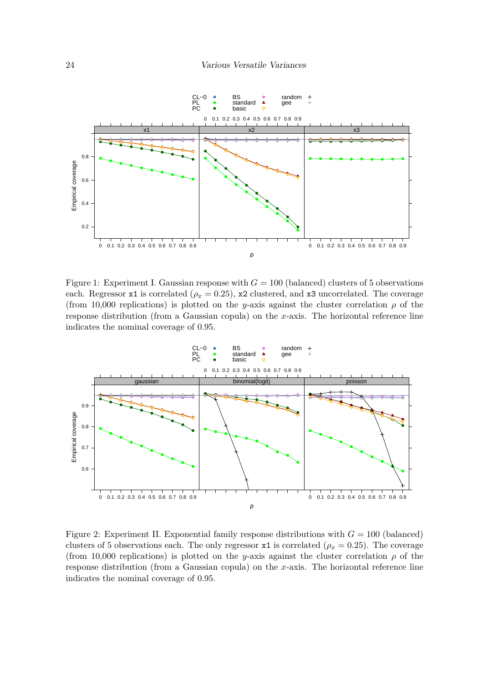

<span id="page-23-0"></span>Figure 1: Experiment I. Gaussian response with  $G = 100$  (balanced) clusters of 5 observations each. Regressor x1 is correlated ( $\rho_x = 0.25$ ), x2 clustered, and x3 uncorrelated. The coverage (from 10,000 replications) is plotted on the *y*-axis against the cluster correlation  $\rho$  of the response distribution (from a Gaussian copula) on the *x*-axis. The horizontal reference line indicates the nominal coverage of 0*.*95.



<span id="page-23-1"></span>Figure 2: Experiment II. Exponential family response distributions with  $G = 100$  (balanced) clusters of 5 observations each. The only regressor  $x1$  is correlated ( $\rho_x = 0.25$ ). The coverage (from 10,000 replications) is plotted on the *y*-axis against the cluster correlation  $\rho$  of the response distribution (from a Gaussian copula) on the *x*-axis. The horizontal reference line indicates the nominal coverage of 0*.*95.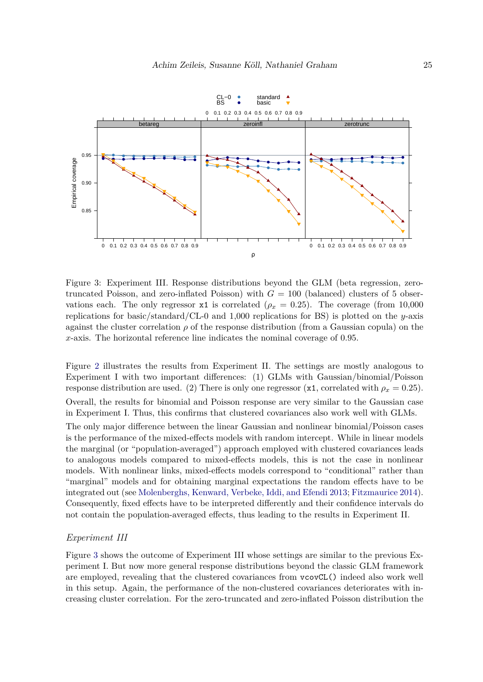

<span id="page-24-0"></span>Figure 3: Experiment III. Response distributions beyond the GLM (beta regression, zerotruncated Poisson, and zero-inflated Poisson) with  $G = 100$  (balanced) clusters of 5 observations each. The only regressor x1 is correlated ( $\rho_x = 0.25$ ). The coverage (from 10,000 replications for basic/standard/CL-0 and 1,000 replications for BS) is plotted on the *y*-axis against the cluster correlation *ρ* of the response distribution (from a Gaussian copula) on the *x*-axis. The horizontal reference line indicates the nominal coverage of 0*.*95.

Figure [2](#page-23-1) illustrates the results from Experiment II. The settings are mostly analogous to Experiment I with two important differences: (1) GLMs with Gaussian/binomial/Poisson response distribution are used. (2) There is only one regressor ( $x1$ , correlated with  $\rho_x = 0.25$ ). Overall, the results for binomial and Poisson response are very similar to the Gaussian case in Experiment I. Thus, this confirms that clustered covariances also work well with GLMs.

The only major difference between the linear Gaussian and nonlinear binomial/Poisson cases is the performance of the mixed-effects models with random intercept. While in linear models the marginal (or "population-averaged") approach employed with clustered covariances leads to analogous models compared to mixed-effects models, this is not the case in nonlinear models. With nonlinear links, mixed-effects models correspond to "conditional" rather than "marginal" models and for obtaining marginal expectations the random effects have to be integrated out (see [Molenberghs, Kenward, Verbeke, Iddi, and Efendi](#page-30-13) [2013;](#page-30-13) [Fitzmaurice](#page-29-13) [2014\)](#page-29-13). Consequently, fixed effects have to be interpreted differently and their confidence intervals do not contain the population-averaged effects, thus leading to the results in Experiment II.

#### *Experiment III*

Figure [3](#page-24-0) shows the outcome of Experiment III whose settings are similar to the previous Experiment I. But now more general response distributions beyond the classic GLM framework are employed, revealing that the clustered covariances from vcovCL() indeed also work well in this setup. Again, the performance of the non-clustered covariances deteriorates with increasing cluster correlation. For the zero-truncated and zero-inflated Poisson distribution the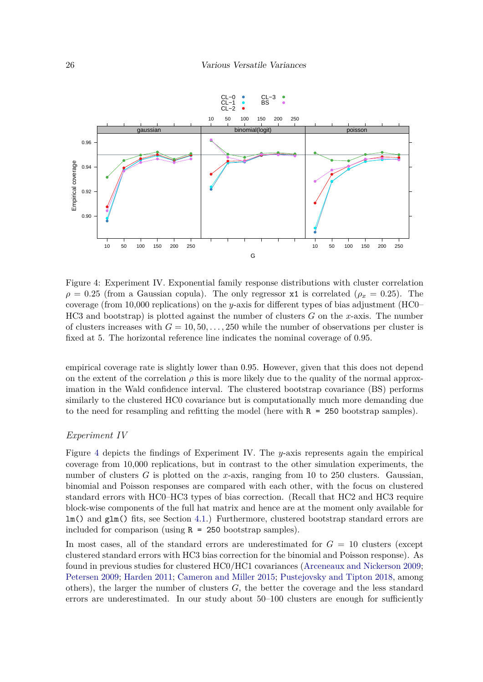

<span id="page-25-0"></span>Figure 4: Experiment IV. Exponential family response distributions with cluster correlation  $\rho = 0.25$  (from a Gaussian copula). The only regressor x1 is correlated ( $\rho_x = 0.25$ ). The coverage (from 10,000 replications) on the *y*-axis for different types of bias adjustment (HC0– HC3 and bootstrap) is plotted against the number of clusters *G* on the *x*-axis. The number of clusters increases with  $G = 10, 50, \ldots, 250$  while the number of observations per cluster is fixed at 5. The horizontal reference line indicates the nominal coverage of 0*.*95.

empirical coverage rate is slightly lower than 0*.*95. However, given that this does not depend on the extent of the correlation  $\rho$  this is more likely due to the quality of the normal approximation in the Wald confidence interval. The clustered bootstrap covariance (BS) performs similarly to the clustered HC0 covariance but is computationally much more demanding due to the need for resampling and refitting the model (here with  $R = 250$  bootstrap samples).

#### *Experiment IV*

Figure [4](#page-25-0) depicts the findings of Experiment IV. The *y*-axis represents again the empirical coverage from 10,000 replications, but in contrast to the other simulation experiments, the number of clusters *G* is plotted on the *x*-axis, ranging from 10 to 250 clusters. Gaussian, binomial and Poisson responses are compared with each other, with the focus on clustered standard errors with HC0–HC3 types of bias correction. (Recall that HC2 and HC3 require block-wise components of the full hat matrix and hence are at the moment only available for lm() and glm() fits, see Section [4.1.](#page-10-1)) Furthermore, clustered bootstrap standard errors are included for comparison (using R = 250 bootstrap samples).

In most cases, all of the standard errors are underestimated for  $G = 10$  clusters (except clustered standard errors with HC3 bias correction for the binomial and Poisson response). As found in previous studies for clustered HC0/HC1 covariances [\(Arceneaux and Nickerson](#page-27-10) [2009;](#page-27-10) [Petersen](#page-31-4) [2009;](#page-31-4) [Harden](#page-29-10) [2011;](#page-29-10) [Cameron and Miller](#page-28-0) [2015;](#page-28-0) [Pustejovsky and Tipton](#page-31-13) [2018,](#page-31-13) among others), the larger the number of clusters *G*, the better the coverage and the less standard errors are underestimated. In our study about 50–100 clusters are enough for sufficiently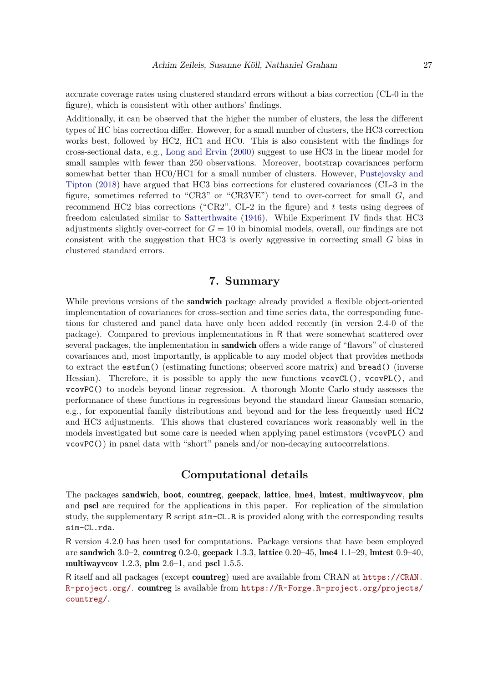accurate coverage rates using clustered standard errors without a bias correction (CL-0 in the figure), which is consistent with other authors' findings.

Additionally, it can be observed that the higher the number of clusters, the less the different types of HC bias correction differ. However, for a small number of clusters, the HC3 correction works best, followed by HC2, HC1 and HC0. This is also consistent with the findings for cross-sectional data, e.g., [Long and Ervin](#page-30-1) [\(2000\)](#page-30-1) suggest to use HC3 in the linear model for small samples with fewer than 250 observations. Moreover, bootstrap covariances perform somewhat better than HC0/HC1 for a small number of clusters. However, [Pustejovsky and](#page-31-13) [Tipton](#page-31-13) [\(2018\)](#page-31-13) have argued that HC3 bias corrections for clustered covariances (CL-3 in the figure, sometimes referred to "CR3" or "CR3VE") tend to over-correct for small *G*, and recommend HC2 bias corrections ("CR2", CL-2 in the figure) and *t* tests using degrees of freedom calculated similar to [Satterthwaite](#page-31-14) [\(1946\)](#page-31-14). While Experiment IV finds that HC3 adjustments slightly over-correct for *G* = 10 in binomial models, overall, our findings are not consistent with the suggestion that HC3 is overly aggressive in correcting small *G* bias in clustered standard errors.

# **7. Summary**

While previous versions of the **sandwich** package already provided a flexible object-oriented implementation of covariances for cross-section and time series data, the corresponding functions for clustered and panel data have only been added recently (in version 2.4-0 of the package). Compared to previous implementations in R that were somewhat scattered over several packages, the implementation in **sandwich** offers a wide range of "flavors" of clustered covariances and, most importantly, is applicable to any model object that provides methods to extract the estfun() (estimating functions; observed score matrix) and bread() (inverse Hessian). Therefore, it is possible to apply the new functions  $vcovCL()$ ,  $vcovPL()$ , and vcovPC() to models beyond linear regression. A thorough Monte Carlo study assesses the performance of these functions in regressions beyond the standard linear Gaussian scenario, e.g., for exponential family distributions and beyond and for the less frequently used HC2 and HC3 adjustments. This shows that clustered covariances work reasonably well in the models investigated but some care is needed when applying panel estimators (vcovPL() and vcovPC()) in panel data with "short" panels and/or non-decaying autocorrelations.

# **Computational details**

The packages sandwich, boot, countreg, geepack, lattice, lme4, lmtest, multiwayvcov, plm and pscl are required for the applications in this paper. For replication of the simulation study, the supplementary R script sim-CL.R is provided along with the corresponding results sim-CL.rda.

R version 4.2.0 has been used for computations. Package versions that have been employed are sandwich 3.0–2, countreg 0.2-0, geepack 1.3.3, lattice 0.20–45, lme4 1.1–29, lmtest 0.9–40, multiway vcov 1.2.3, plm  $2.6-1$ , and pscl 1.5.5.

R itself and all packages (except countreg) used are available from CRAN at [https://CRAN.](https://CRAN.R-project.org/) [R-project.org/](https://CRAN.R-project.org/). countreg is available from [https://R-Forge.R-project.org/projects/](https://R-Forge.R-project.org/projects/countreg/) [countreg/](https://R-Forge.R-project.org/projects/countreg/).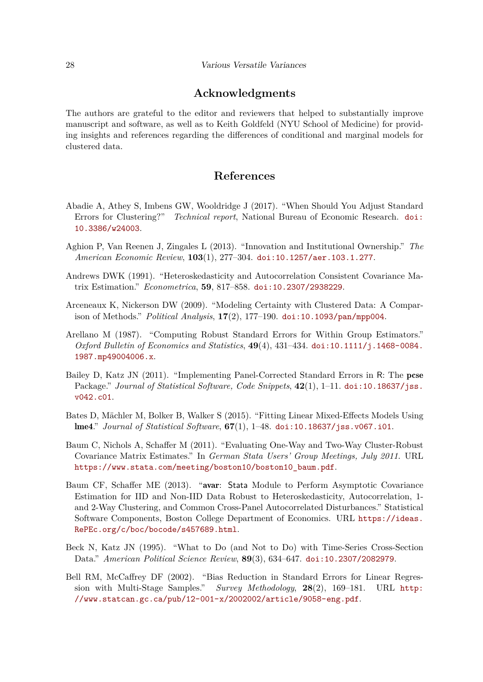# **Acknowledgments**

The authors are grateful to the editor and reviewers that helped to substantially improve manuscript and software, as well as to Keith Goldfeld (NYU School of Medicine) for providing insights and references regarding the differences of conditional and marginal models for clustered data.

# **References**

- <span id="page-27-5"></span>Abadie A, Athey S, Imbens GW, Wooldridge J (2017). "When Should You Adjust Standard Errors for Clustering?" *Technical report*, National Bureau of Economic Research. [doi:](https://doi.org/10.3386/w24003) [10.3386/w24003](https://doi.org/10.3386/w24003).
- <span id="page-27-0"></span>Aghion P, Van Reenen J, Zingales L (2013). "Innovation and Institutional Ownership." *The American Economic Review*, **103**(1), 277–304. [doi:10.1257/aer.103.1.277](https://doi.org/10.1257/aer.103.1.277).
- <span id="page-27-2"></span>Andrews DWK (1991). "Heteroskedasticity and Autocorrelation Consistent Covariance Matrix Estimation." *Econometrica*, **59**, 817–858. [doi:10.2307/2938229](https://doi.org/10.2307/2938229).
- <span id="page-27-10"></span>Arceneaux K, Nickerson DW (2009). "Modeling Certainty with Clustered Data: A Comparison of Methods." *Political Analysis*, **17**(2), 177–190. [doi:10.1093/pan/mpp004](https://doi.org/10.1093/pan/mpp004).
- <span id="page-27-4"></span>Arellano M (1987). "Computing Robust Standard Errors for Within Group Estimators." *Oxford Bulletin of Economics and Statistics*, **49**(4), 431–434. [doi:10.1111/j.1468-0084.](https://doi.org/10.1111/j.1468-0084.1987.mp49004006.x) [1987.mp49004006.x](https://doi.org/10.1111/j.1468-0084.1987.mp49004006.x).
- <span id="page-27-9"></span>Bailey D, Katz JN (2011). "Implementing Panel-Corrected Standard Errors in R: The pcse Package." *Journal of Statistical Software, Code Snippets*, **42**(1), 1–11. [doi:10.18637/jss.](https://doi.org/10.18637/jss.v042.c01) [v042.c01](https://doi.org/10.18637/jss.v042.c01).
- <span id="page-27-1"></span>Bates D, Mächler M, Bolker B, Walker S (2015). "Fitting Linear Mixed-Effects Models Using lme4." *Journal of Statistical Software*, **67**(1), 1–48. [doi:10.18637/jss.v067.i01](https://doi.org/10.18637/jss.v067.i01).
- <span id="page-27-3"></span>Baum C, Nichols A, Schaffer M (2011). "Evaluating One-Way and Two-Way Cluster-Robust Covariance Matrix Estimates." In *German Stata Users' Group Meetings, July 2011*. URL [https://www.stata.com/meeting/boston10/boston10\\_baum.pdf](https://www.stata.com/meeting/boston10/boston10_baum.pdf).
- <span id="page-27-6"></span>Baum CF, Schaffer ME (2013). "avar: Stata Module to Perform Asymptotic Covariance Estimation for IID and Non-IID Data Robust to Heteroskedasticity, Autocorrelation, 1 and 2-Way Clustering, and Common Cross-Panel Autocorrelated Disturbances." Statistical Software Components, Boston College Department of Economics. URL [https://ideas.](https://ideas.RePEc.org/c/boc/bocode/s457689.html) [RePEc.org/c/boc/bocode/s457689.html](https://ideas.RePEc.org/c/boc/bocode/s457689.html).
- <span id="page-27-8"></span>Beck N, Katz JN (1995). "What to Do (and Not to Do) with Time-Series Cross-Section Data." *American Political Science Review*, **89**(3), 634–647. [doi:10.2307/2082979](https://doi.org/10.2307/2082979).
- <span id="page-27-7"></span>Bell RM, McCaffrey DF (2002). "Bias Reduction in Standard Errors for Linear Regression with Multi-Stage Samples." *Survey Methodology*, **28**(2), 169–181. URL [http:](http://www.statcan.gc.ca/pub/12-001-x/2002002/article/9058-eng.pdf) [//www.statcan.gc.ca/pub/12-001-x/2002002/article/9058-eng.pdf](http://www.statcan.gc.ca/pub/12-001-x/2002002/article/9058-eng.pdf).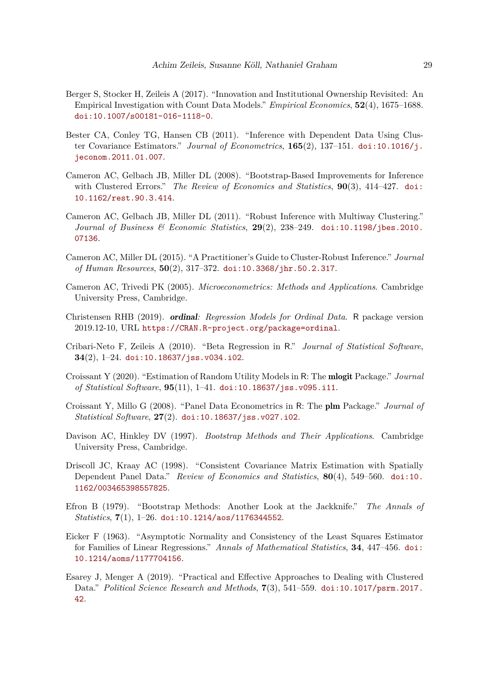- <span id="page-28-14"></span>Berger S, Stocker H, Zeileis A (2017). "Innovation and Institutional Ownership Revisited: An Empirical Investigation with Count Data Models." *Empirical Economics*, **52**(4), 1675–1688. [doi:10.1007/s00181-016-1118-0](https://doi.org/10.1007/s00181-016-1118-0).
- <span id="page-28-5"></span>Bester CA, Conley TG, Hansen CB (2011). "Inference with Dependent Data Using Cluster Covariance Estimators." *Journal of Econometrics*, **165**(2), 137–151. [doi:10.1016/j.](https://doi.org/10.1016/j.jeconom.2011.01.007) [jeconom.2011.01.007](https://doi.org/10.1016/j.jeconom.2011.01.007).
- <span id="page-28-8"></span>Cameron AC, Gelbach JB, Miller DL (2008). "Bootstrap-Based Improvements for Inference with Clustered Errors." *The Review of Economics and Statistics*, **90**(3), 414–427. [doi:](https://doi.org/10.1162/rest.90.3.414) [10.1162/rest.90.3.414](https://doi.org/10.1162/rest.90.3.414).
- <span id="page-28-4"></span>Cameron AC, Gelbach JB, Miller DL (2011). "Robust Inference with Multiway Clustering." *Journal of Business & Economic Statistics*, **29**(2), 238–249. [doi:10.1198/jbes.2010.](https://doi.org/10.1198/jbes.2010.07136) [07136](https://doi.org/10.1198/jbes.2010.07136).
- <span id="page-28-0"></span>Cameron AC, Miller DL (2015). "A Practitioner's Guide to Cluster-Robust Inference." *Journal of Human Resources*, **50**(2), 317–372. [doi:10.3368/jhr.50.2.317](https://doi.org/10.3368/jhr.50.2.317).
- <span id="page-28-9"></span>Cameron AC, Trivedi PK (2005). *Microeconometrics: Methods and Applications*. Cambridge University Press, Cambridge.
- <span id="page-28-10"></span>Christensen RHB (2019). ordinal*: Regression Models for Ordinal Data*. R package version 2019.12-10, URL <https://CRAN.R-project.org/package=ordinal>.
- <span id="page-28-1"></span>Cribari-Neto F, Zeileis A (2010). "Beta Regression in R." *Journal of Statistical Software*, **34**(2), 1–24. [doi:10.18637/jss.v034.i02](https://doi.org/10.18637/jss.v034.i02).
- <span id="page-28-11"></span>Croissant Y (2020). "Estimation of Random Utility Models in R: The mlogit Package." *Journal of Statistical Software*, **95**(11), 1–41. [doi:10.18637/jss.v095.i11](https://doi.org/10.18637/jss.v095.i11).
- <span id="page-28-2"></span>Croissant Y, Millo G (2008). "Panel Data Econometrics in R: The plm Package." *Journal of Statistical Software*, **27**(2). [doi:10.18637/jss.v027.i02](https://doi.org/10.18637/jss.v027.i02).
- <span id="page-28-12"></span>Davison AC, Hinkley DV (1997). *Bootstrap Methods and Their Applications*. Cambridge University Press, Cambridge.
- <span id="page-28-7"></span>Driscoll JC, Kraay AC (1998). "Consistent Covariance Matrix Estimation with Spatially Dependent Panel Data." *Review of Economics and Statistics*, **80**(4), 549–560. [doi:10.](https://doi.org/10.1162/003465398557825) [1162/003465398557825](https://doi.org/10.1162/003465398557825).
- <span id="page-28-13"></span>Efron B (1979). "Bootstrap Methods: Another Look at the Jackknife." *The Annals of Statistics*, **7**(1), 1–26. [doi:10.1214/aos/1176344552](https://doi.org/10.1214/aos/1176344552).
- <span id="page-28-3"></span>Eicker F (1963). "Asymptotic Normality and Consistency of the Least Squares Estimator for Families of Linear Regressions." *Annals of Mathematical Statistics*, **34**, 447–456. [doi:](https://doi.org/10.1214/aoms/1177704156) [10.1214/aoms/1177704156](https://doi.org/10.1214/aoms/1177704156).
- <span id="page-28-6"></span>Esarey J, Menger A (2019). "Practical and Effective Approaches to Dealing with Clustered Data." *Political Science Research and Methods*, **7**(3), 541–559. [doi:10.1017/psrm.2017.](https://doi.org/10.1017/psrm.2017.42) [42](https://doi.org/10.1017/psrm.2017.42).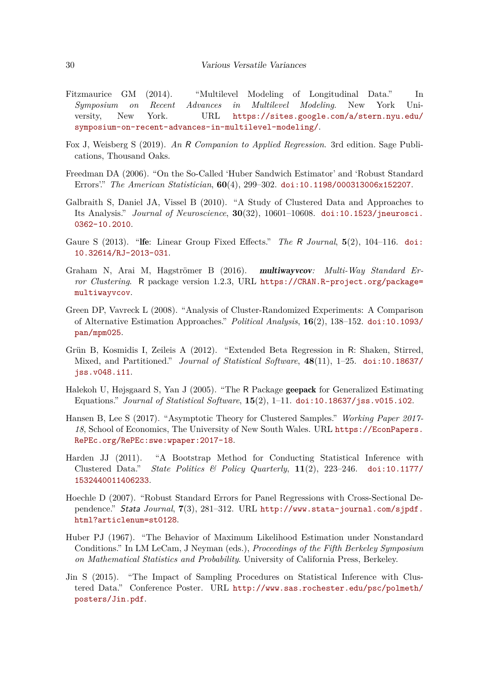- <span id="page-29-13"></span>Fitzmaurice GM (2014). "Multilevel Modeling of Longitudinal Data." In *Symposium on Recent Advances in Multilevel Modeling*. New York University, New York. URL [https://sites.google.com/a/stern.nyu.edu/](https://sites.google.com/a/stern.nyu.edu/symposium-on-recent-advances-in-multilevel-modeling/) [symposium-on-recent-advances-in-multilevel-modeling/](https://sites.google.com/a/stern.nyu.edu/symposium-on-recent-advances-in-multilevel-modeling/).
- <span id="page-29-6"></span>Fox J, Weisberg S (2019). *An* R *Companion to Applied Regression*. 3rd edition. Sage Publications, Thousand Oaks.
- <span id="page-29-3"></span>Freedman DA (2006). "On the So-Called 'Huber Sandwich Estimator' and 'Robust Standard Errors'." *The American Statistician*, **60**(4), 299–302. [doi:10.1198/000313006x152207](https://doi.org/10.1198/000313006x152207).
- <span id="page-29-0"></span>Galbraith S, Daniel JA, Vissel B (2010). "A Study of Clustered Data and Approaches to Its Analysis." *Journal of Neuroscience*, **30**(32), 10601–10608. [doi:10.1523/jneurosci.](https://doi.org/10.1523/jneurosci.0362-10.2010) [0362-10.2010](https://doi.org/10.1523/jneurosci.0362-10.2010).
- <span id="page-29-8"></span>Gaure S (2013). "lfe: Linear Group Fixed Effects." *The* R *Journal*, **5**(2), 104–116. [doi:](https://doi.org/10.32614/RJ-2013-031) [10.32614/RJ-2013-031](https://doi.org/10.32614/RJ-2013-031).
- <span id="page-29-7"></span>Graham N, Arai M, Hagströmer B (2016). multiwayvcov*: Multi-Way Standard Error Clustering*. R package version 1.2.3, URL [https://CRAN.R-project.org/package=](https://CRAN.R-project.org/package=multiwayvcov) [multiwayvcov](https://CRAN.R-project.org/package=multiwayvcov).
- <span id="page-29-12"></span>Green DP, Vavreck L (2008). "Analysis of Cluster-Randomized Experiments: A Comparison of Alternative Estimation Approaches." *Political Analysis*, **16**(2), 138–152. [doi:10.1093/](https://doi.org/10.1093/pan/mpm025) [pan/mpm025](https://doi.org/10.1093/pan/mpm025).
- <span id="page-29-1"></span>Grün B, Kosmidis I, Zeileis A (2012). "Extended Beta Regression in R: Shaken, Stirred, Mixed, and Partitioned." *Journal of Statistical Software*, **48**(11), 1–25. [doi:10.18637/](https://doi.org/10.18637/jss.v048.i11) [jss.v048.i11](https://doi.org/10.18637/jss.v048.i11).
- <span id="page-29-2"></span>Halekoh U, Højsgaard S, Yan J (2005). "The R Package geepack for Generalized Estimating Equations." *Journal of Statistical Software*, **15**(2), 1–11. [doi:10.18637/jss.v015.i02](https://doi.org/10.18637/jss.v015.i02).
- <span id="page-29-5"></span>Hansen B, Lee S (2017). "Asymptotic Theory for Clustered Samples." *Working Paper 2017- 18*, School of Economics, The University of New South Wales. URL [https://EconPapers.](https://EconPapers.RePEc.org/RePEc:swe:wpaper:2017-18) [RePEc.org/RePEc:swe:wpaper:2017-18](https://EconPapers.RePEc.org/RePEc:swe:wpaper:2017-18).
- <span id="page-29-10"></span>Harden JJ (2011). "A Bootstrap Method for Conducting Statistical Inference with Clustered Data." *State Politics & Policy Quarterly*, **11**(2), 223–246. [doi:10.1177/](https://doi.org/10.1177/1532440011406233) [1532440011406233](https://doi.org/10.1177/1532440011406233).
- <span id="page-29-9"></span>Hoechle D (2007). "Robust Standard Errors for Panel Regressions with Cross-Sectional Dependence." Stata *Journal*, **7**(3), 281–312. URL [http://www.stata-journal.com/sjpdf.](http://www.stata-journal.com/sjpdf.html?articlenum=st0128) [html?articlenum=st0128](http://www.stata-journal.com/sjpdf.html?articlenum=st0128).
- <span id="page-29-4"></span>Huber PJ (1967). "The Behavior of Maximum Likelihood Estimation under Nonstandard Conditions." In LM LeCam, J Neyman (eds.), *Proceedings of the Fifth Berkeley Symposium on Mathematical Statistics and Probability*. University of California Press, Berkeley.
- <span id="page-29-11"></span>Jin S (2015). "The Impact of Sampling Procedures on Statistical Inference with Clustered Data." Conference Poster. URL [http://www.sas.rochester.edu/psc/polmeth/](http://www.sas.rochester.edu/psc/polmeth/posters/Jin.pdf) [posters/Jin.pdf](http://www.sas.rochester.edu/psc/polmeth/posters/Jin.pdf).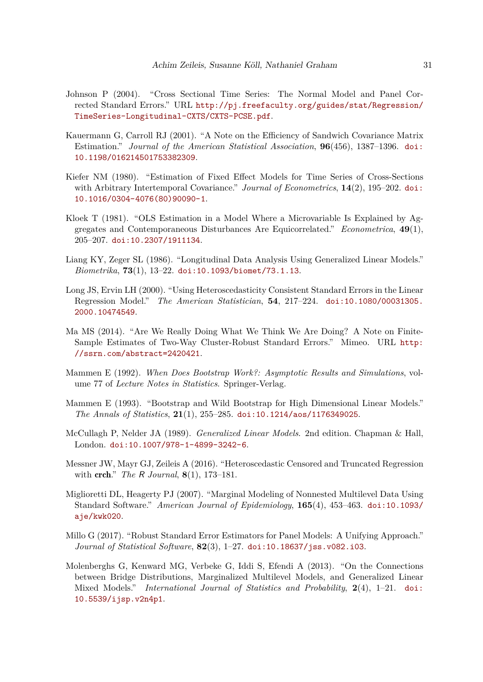- <span id="page-30-9"></span>Johnson P (2004). "Cross Sectional Time Series: The Normal Model and Panel Corrected Standard Errors." URL [http://pj.freefaculty.org/guides/stat/Regression/](http://pj.freefaculty.org/guides/stat/Regression/TimeSeries-Longitudinal-CXTS/CXTS-PCSE.pdf) [TimeSeries-Longitudinal-CXTS/CXTS-PCSE.pdf](http://pj.freefaculty.org/guides/stat/Regression/TimeSeries-Longitudinal-CXTS/CXTS-PCSE.pdf).
- <span id="page-30-5"></span>Kauermann G, Carroll RJ (2001). "A Note on the Efficiency of Sandwich Covariance Matrix Estimation." *Journal of the American Statistical Association*, **96**(456), 1387–1396. [doi:](https://doi.org/10.1198/016214501753382309) [10.1198/016214501753382309](https://doi.org/10.1198/016214501753382309).
- <span id="page-30-3"></span>Kiefer NM (1980). "Estimation of Fixed Effect Models for Time Series of Cross-Sections with Arbitrary Intertemporal Covariance." *Journal of Econometrics*, **14**(2), 195–202. [doi:](https://doi.org/10.1016/0304-4076(80)90090-1) [10.1016/0304-4076\(80\)90090-1](https://doi.org/10.1016/0304-4076(80)90090-1).
- <span id="page-30-2"></span>Kloek T (1981). "OLS Estimation in a Model Where a Microvariable Is Explained by Aggregates and Contemporaneous Disturbances Are Equicorrelated." *Econometrica*, **49**(1), 205–207. [doi:10.2307/1911134](https://doi.org/10.2307/1911134).
- <span id="page-30-0"></span>Liang KY, Zeger SL (1986). "Longitudinal Data Analysis Using Generalized Linear Models." *Biometrika*, **73**(1), 13–22. [doi:10.1093/biomet/73.1.13](https://doi.org/10.1093/biomet/73.1.13).
- <span id="page-30-1"></span>Long JS, Ervin LH (2000). "Using Heteroscedasticity Consistent Standard Errors in the Linear Regression Model." *The American Statistician*, **54**, 217–224. [doi:10.1080/00031305.](https://doi.org/10.1080/00031305.2000.10474549) [2000.10474549](https://doi.org/10.1080/00031305.2000.10474549).
- <span id="page-30-7"></span>Ma MS (2014). "Are We Really Doing What We Think We Are Doing? A Note on Finite-Sample Estimates of Two-Way Cluster-Robust Standard Errors." Mimeo. URL [http:](http://ssrn.com/abstract=2420421) [//ssrn.com/abstract=2420421](http://ssrn.com/abstract=2420421).
- <span id="page-30-11"></span>Mammen E (1992). *When Does Bootstrap Work?: Asymptotic Results and Simulations*, volume 77 of *Lecture Notes in Statistics*. Springer-Verlag.
- <span id="page-30-12"></span>Mammen E (1993). "Bootstrap and Wild Bootstrap for High Dimensional Linear Models." *The Annals of Statistics*, **21**(1), 255–285. [doi:10.1214/aos/1176349025](https://doi.org/10.1214/aos/1176349025).
- <span id="page-30-4"></span>McCullagh P, Nelder JA (1989). *Generalized Linear Models*. 2nd edition. Chapman & Hall, London. [doi:10.1007/978-1-4899-3242-6](https://doi.org/10.1007/978-1-4899-3242-6).
- <span id="page-30-10"></span>Messner JW, Mayr GJ, Zeileis A (2016). "Heteroscedastic Censored and Truncated Regression with crch." *The* R *Journal*, **8**(1), 173–181.
- <span id="page-30-6"></span>Miglioretti DL, Heagerty PJ (2007). "Marginal Modeling of Nonnested Multilevel Data Using Standard Software." *American Journal of Epidemiology*, **165**(4), 453–463. [doi:10.1093/](https://doi.org/10.1093/aje/kwk020) [aje/kwk020](https://doi.org/10.1093/aje/kwk020).
- <span id="page-30-8"></span>Millo G (2017). "Robust Standard Error Estimators for Panel Models: A Unifying Approach." *Journal of Statistical Software*, **82**(3), 1–27. [doi:10.18637/jss.v082.i03](https://doi.org/10.18637/jss.v082.i03).
- <span id="page-30-13"></span>Molenberghs G, Kenward MG, Verbeke G, Iddi S, Efendi A (2013). "On the Connections between Bridge Distributions, Marginalized Multilevel Models, and Generalized Linear Mixed Models." *International Journal of Statistics and Probability*, **2**(4), 1–21. [doi:](https://doi.org/10.5539/ijsp.v2n4p1) [10.5539/ijsp.v2n4p1](https://doi.org/10.5539/ijsp.v2n4p1).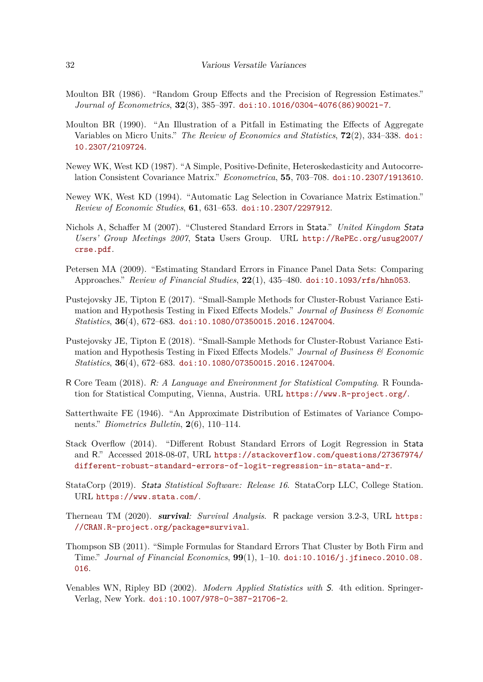- <span id="page-31-0"></span>Moulton BR (1986). "Random Group Effects and the Precision of Regression Estimates." *Journal of Econometrics*, **32**(3), 385–397. [doi:10.1016/0304-4076\(86\)90021-7](https://doi.org/10.1016/0304-4076(86)90021-7).
- <span id="page-31-1"></span>Moulton BR (1990). "An Illustration of a Pitfall in Estimating the Effects of Aggregate Variables on Micro Units." *The Review of Economics and Statistics*, **72**(2), 334–338. [doi:](https://doi.org/10.2307/2109724) [10.2307/2109724](https://doi.org/10.2307/2109724).
- <span id="page-31-6"></span>Newey WK, West KD (1987). "A Simple, Positive-Definite, Heteroskedasticity and Autocorrelation Consistent Covariance Matrix." *Econometrica*, **55**, 703–708. [doi:10.2307/1913610](https://doi.org/10.2307/1913610).
- <span id="page-31-7"></span>Newey WK, West KD (1994). "Automatic Lag Selection in Covariance Matrix Estimation." *Review of Economic Studies*, **61**, 631–653. [doi:10.2307/2297912](https://doi.org/10.2307/2297912).
- <span id="page-31-9"></span>Nichols A, Schaffer M (2007). "Clustered Standard Errors in Stata." *United Kingdom* Stata *Users' Group Meetings 2007*, Stata Users Group. URL [http://RePEc.org/usug2007/](http://RePEc.org/usug2007/crse.pdf) [crse.pdf](http://RePEc.org/usug2007/crse.pdf).
- <span id="page-31-4"></span>Petersen MA (2009). "Estimating Standard Errors in Finance Panel Data Sets: Comparing Approaches." *Review of Financial Studies*, **22**(1), 435–480. [doi:10.1093/rfs/hhn053](https://doi.org/10.1093/rfs/hhn053).
- <span id="page-31-8"></span>Pustejovsky JE, Tipton E (2017). "Small-Sample Methods for Cluster-Robust Variance Estimation and Hypothesis Testing in Fixed Effects Models." *Journal of Business & Economic Statistics*, **36**(4), 672–683. [doi:10.1080/07350015.2016.1247004](https://doi.org/10.1080/07350015.2016.1247004).
- <span id="page-31-13"></span>Pustejovsky JE, Tipton E (2018). "Small-Sample Methods for Cluster-Robust Variance Estimation and Hypothesis Testing in Fixed Effects Models." *Journal of Business & Economic Statistics*, **36**(4), 672–683. [doi:10.1080/07350015.2016.1247004](https://doi.org/10.1080/07350015.2016.1247004).
- <span id="page-31-2"></span>R Core Team (2018). R*: A Language and Environment for Statistical Computing*. R Foundation for Statistical Computing, Vienna, Austria. URL <https://www.R-project.org/>.
- <span id="page-31-14"></span>Satterthwaite FE (1946). "An Approximate Distribution of Estimates of Variance Components." *Biometrics Bulletin*, **2**(6), 110–114.
- <span id="page-31-10"></span>Stack Overflow (2014). "Different Robust Standard Errors of Logit Regression in Stata and R." Accessed 2018-08-07, URL [https://stackoverflow.com/questions/27367974/](https://stackoverflow.com/questions/27367974/different-robust-standard-errors-of-logit-regression-in-stata-and-r) [different-robust-standard-errors-of-logit-regression-in-stata-and-r](https://stackoverflow.com/questions/27367974/different-robust-standard-errors-of-logit-regression-in-stata-and-r).
- <span id="page-31-5"></span>StataCorp (2019). Stata *Statistical Software: Release 16*. StataCorp LLC, College Station. URL <https://www.stata.com/>.
- <span id="page-31-12"></span>Therneau TM (2020). survival*: Survival Analysis*. R package version 3.2-3, URL [https:](https://CRAN.R-project.org/package=survival) [//CRAN.R-project.org/package=survival](https://CRAN.R-project.org/package=survival).
- <span id="page-31-11"></span>Thompson SB (2011). "Simple Formulas for Standard Errors That Cluster by Both Firm and Time." *Journal of Financial Economics*, **99**(1), 1–10. [doi:10.1016/j.jfineco.2010.08.](https://doi.org/10.1016/j.jfineco.2010.08.016) [016](https://doi.org/10.1016/j.jfineco.2010.08.016).
- <span id="page-31-3"></span>Venables WN, Ripley BD (2002). *Modern Applied Statistics with* S. 4th edition. Springer-Verlag, New York. [doi:10.1007/978-0-387-21706-2](https://doi.org/10.1007/978-0-387-21706-2).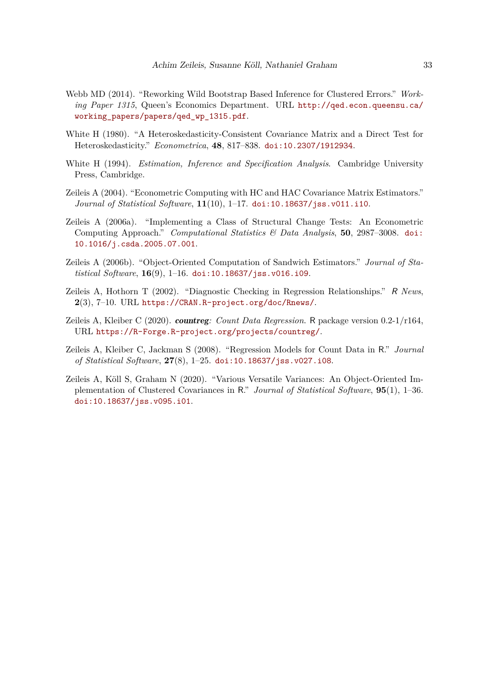- <span id="page-32-8"></span>Webb MD (2014). "Reworking Wild Bootstrap Based Inference for Clustered Errors." *Working Paper 1315*, Queen's Economics Department. URL [http://qed.econ.queensu.ca/](http://qed.econ.queensu.ca/working_papers/papers/qed_wp_1315.pdf) [working\\_papers/papers/qed\\_wp\\_1315.pdf](http://qed.econ.queensu.ca/working_papers/papers/qed_wp_1315.pdf).
- <span id="page-32-5"></span>White H (1980). "A Heteroskedasticity-Consistent Covariance Matrix and a Direct Test for Heteroskedasticity." *Econometrica*, **48**, 817–838. [doi:10.2307/1912934](https://doi.org/10.2307/1912934).
- <span id="page-32-4"></span>White H (1994). *Estimation, Inference and Specification Analysis*. Cambridge University Press, Cambridge.
- <span id="page-32-1"></span>Zeileis A (2004). "Econometric Computing with HC and HAC Covariance Matrix Estimators." *Journal of Statistical Software*, **11**(10), 1–17. [doi:10.18637/jss.v011.i10](https://doi.org/10.18637/jss.v011.i10).
- <span id="page-32-7"></span>Zeileis A (2006a). "Implementing a Class of Structural Change Tests: An Econometric Computing Approach." *Computational Statistics & Data Analysis*, **50**, 2987–3008. [doi:](https://doi.org/10.1016/j.csda.2005.07.001) [10.1016/j.csda.2005.07.001](https://doi.org/10.1016/j.csda.2005.07.001).
- <span id="page-32-2"></span>Zeileis A (2006b). "Object-Oriented Computation of Sandwich Estimators." *Journal of Statistical Software*, **16**(9), 1–16. [doi:10.18637/jss.v016.i09](https://doi.org/10.18637/jss.v016.i09).
- <span id="page-32-6"></span>Zeileis A, Hothorn T (2002). "Diagnostic Checking in Regression Relationships." R *News*, **2**(3), 7–10. URL <https://CRAN.R-project.org/doc/Rnews/>.
- <span id="page-32-9"></span>Zeileis A, Kleiber C (2020). countreg*: Count Data Regression*. R package version 0.2-1/r164, URL <https://R-Forge.R-project.org/projects/countreg/>.
- <span id="page-32-3"></span>Zeileis A, Kleiber C, Jackman S (2008). "Regression Models for Count Data in R." *Journal of Statistical Software*, **27**(8), 1–25. [doi:10.18637/jss.v027.i08](https://doi.org/10.18637/jss.v027.i08).
- <span id="page-32-0"></span>Zeileis A, Köll S, Graham N (2020). "Various Versatile Variances: An Object-Oriented Implementation of Clustered Covariances in R." *Journal of Statistical Software*, **95**(1), 1–36. [doi:10.18637/jss.v095.i01](https://doi.org/10.18637/jss.v095.i01).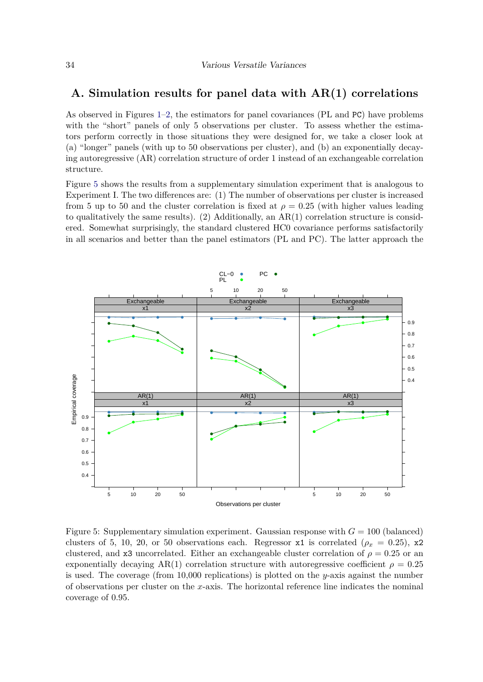### <span id="page-33-0"></span>**A. Simulation results for panel data with AR(1) correlations**

As observed in Figures [1](#page-23-0)[–2,](#page-23-1) the estimators for panel covariances (PL and PC) have problems with the "short" panels of only 5 observations per cluster. To assess whether the estimators perform correctly in those situations they were designed for, we take a closer look at (a) "longer" panels (with up to 50 observations per cluster), and (b) an exponentially decaying autoregressive (AR) correlation structure of order 1 instead of an exchangeable correlation structure.

Figure [5](#page-33-1) shows the results from a supplementary simulation experiment that is analogous to Experiment I. The two differences are: (1) The number of observations per cluster is increased from 5 up to 50 and the cluster correlation is fixed at  $\rho = 0.25$  (with higher values leading to qualitatively the same results). (2) Additionally, an AR(1) correlation structure is considered. Somewhat surprisingly, the standard clustered HC0 covariance performs satisfactorily in all scenarios and better than the panel estimators (PL and PC). The latter approach the



<span id="page-33-1"></span>Figure 5: Supplementary simulation experiment. Gaussian response with  $G = 100$  (balanced) clusters of 5, 10, 20, or 50 observations each. Regressor  $x1$  is correlated ( $\rho_x = 0.25$ ),  $x2$ clustered, and x3 uncorrelated. Either an exchangeable cluster correlation of  $\rho = 0.25$  or an exponentially decaying AR(1) correlation structure with autoregressive coefficient  $\rho = 0.25$ is used. The coverage (from 10,000 replications) is plotted on the *y*-axis against the number of observations per cluster on the *x*-axis. The horizontal reference line indicates the nominal coverage of 0*.*95.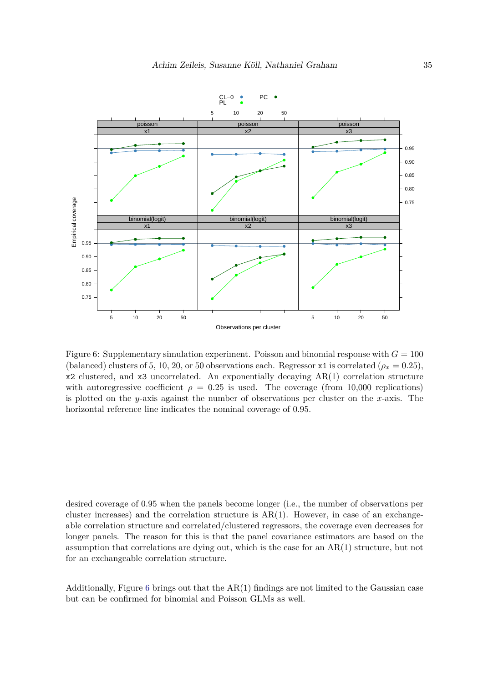

<span id="page-34-0"></span>Figure 6: Supplementary simulation experiment. Poisson and binomial response with  $G = 100$ (balanced) clusters of 5, 10, 20, or 50 observations each. Regressor x1 is correlated ( $\rho_x = 0.25$ ), x2 clustered, and x3 uncorrelated. An exponentially decaying AR(1) correlation structure with autoregressive coefficient  $\rho = 0.25$  is used. The coverage (from 10,000 replications) is plotted on the *y*-axis against the number of observations per cluster on the *x*-axis. The horizontal reference line indicates the nominal coverage of 0*.*95.

desired coverage of 0*.*95 when the panels become longer (i.e., the number of observations per cluster increases) and the correlation structure is  $AR(1)$ . However, in case of an exchangeable correlation structure and correlated/clustered regressors, the coverage even decreases for longer panels. The reason for this is that the panel covariance estimators are based on the assumption that correlations are dying out, which is the case for an  $AR(1)$  structure, but not for an exchangeable correlation structure.

Additionally, Figure  $6$  brings out that the  $AR(1)$  findings are not limited to the Gaussian case but can be confirmed for binomial and Poisson GLMs as well.